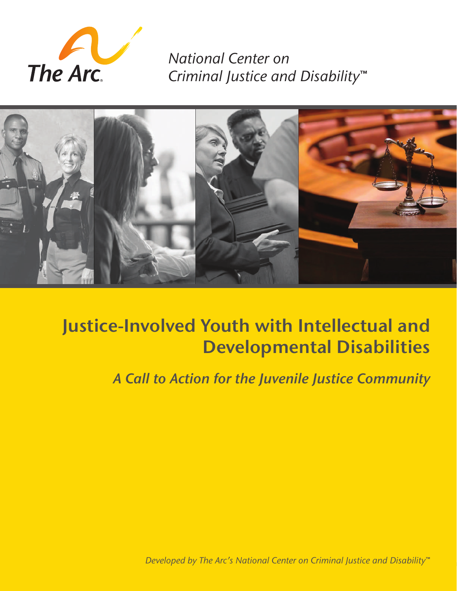

*National Center on Criminal Justice and Disability***™**



# **Justice-Involved Youth with Intellectual and Developmental Disabilities**

*A Call to Action for the Juvenile Justice Community*

*Developed by The Arc's National Center on Criminal Justice and Disability***™**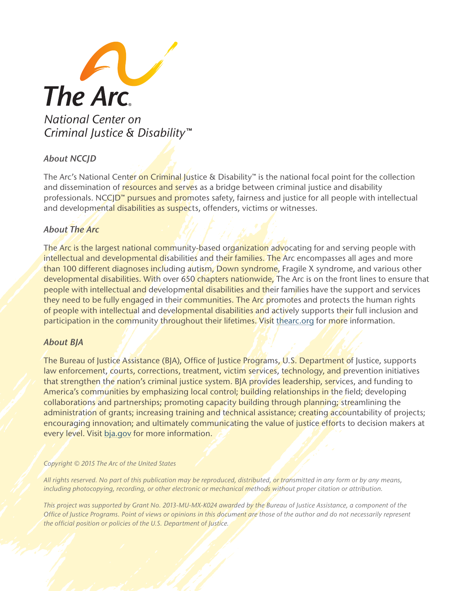

# *About NCCJD*

The Arc's National Center on Criminal Justice & Disability™ is the national focal point for the collection and dissemination of resources and serves as a bridge between criminal justice and disability professionals. NCC<sub>J</sub>D<sup>™</sup> pursues and promotes safety, fairness and justice for all people with intellectual and developmental disabilities as suspects, offenders, victims or witnesses.

# *About The Arc*

The Arc is the largest national community-based organization advocating for and serving people with intellectual and developmental disabilities and their families. The Arc encompasses all ages and more than 100 different diagnoses including autism, Down syndrome, Fragile X syndrome, and various other developmental disabilities. With over 650 chapters nationwide, The Arc is on the front lines to ensure that people with intellectual and developmental disabilities and their families have the support and services they need to be fully engaged in their communities. The Arc promotes and protects the human rights of people with intellectual and developmental disabilities and actively supports their full inclusion and participation in the community throughout their lifetimes. Visit [thearc.org](http://thearc.org) for more information.

#### *About BJA*

The Bureau of Justice Assistance (BJA), Office of Justice Programs, U.S. Department of Justice, supports law enforcement, courts, corrections, treatment, victim services, technology, and prevention initiatives that strengthen the nation's criminal justice system. BJA provides leadership, services, and funding to America's communities by emphasizing local control; building relationships in the field; developing collaborations and partnerships; promoting capacity building through planning; streamlining the administration of grants; increasing training and technical assistance; creating accountability of projects; encouraging innovation; and ultimately communicating the value of justice efforts to decision makers at every level. Visit [bja.gov](http://bja.gov) for more information.

#### *Copyright © 2015 The Arc of the United States*

*All rights reserved. No part of this publication may be reproduced, distributed, or transmitted in any form or by any means, including photocopying, recording, or other electronic or mechanical methods without proper citation or attribution.*

*This project was supported by Grant No. 2013-MU-MX-K024 awarded by the Bureau of Justice Assistance, a component of the Offce of Justice Programs. Point of views or opinions in this document are those of the author and do not necessarily represent the offcial position or policies of the U.S. Department of Justice.*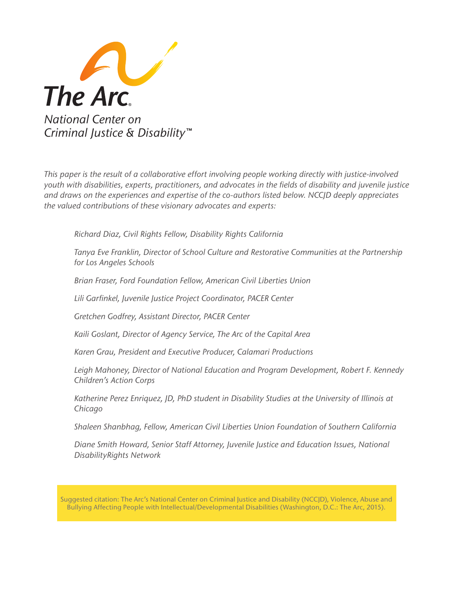

*This paper is the result of a collaborative effort involving people working directly with justice-involved youth with disabilities, experts, practitioners, and advocates in the felds of disability and juvenile justice and draws on the experiences and expertise of the co-authors listed below. NCCJD deeply appreciates the valued contributions of these visionary advocates and experts:*

*Richard Diaz, Civil Rights Fellow, Disability Rights California*

*Tanya Eve Franklin, Director of School Culture and Restorative Communities at the Partnership for Los Angeles Schools*

*Brian Fraser, Ford Foundation Fellow, American Civil Liberties Union*

*Lili Garfnkel, Juvenile Justice Project Coordinator, PACER Center*

*Gretchen Godfrey, Assistant Director, PACER Center*

*Kaili Goslant, Director of Agency Service, The Arc of the Capital Area*

*Karen Grau, President and Executive Producer, Calamari Productions* 

*Leigh Mahoney, Director of National Education and Program Development, Robert F. Kennedy Children's Action Corps*

*Katherine Perez Enriquez, JD, PhD student in Disability Studies at the University of Illinois at Chicago*

*Shaleen Shanbhag, Fellow, American Civil Liberties Union Foundation of Southern California*

*Diane Smith Howard, Senior Staff Attorney, Juvenile Justice and Education Issues, National DisabilityRights Network*

Suggested citation: The Arc's National Center on Criminal Justice and Disability (NCCJD), Violence, Abuse and Bullying Affecting People with Intellectual/Developmental Disabilities (Washington, D.C.: The Arc, 2015).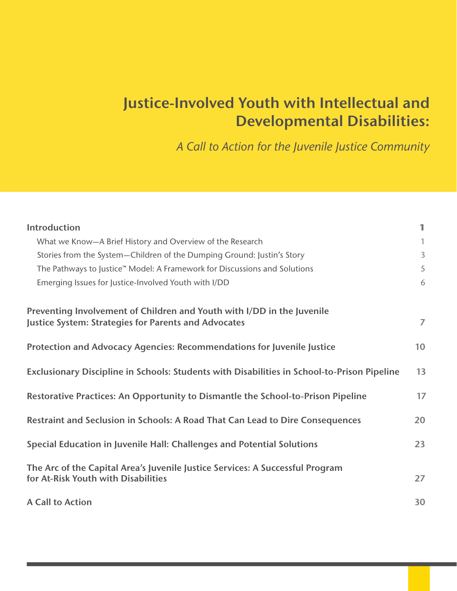# **Justice-Involved Youth with Intellectual and Developmental Disabilities:**

*A Call to Action for the Juvenile Justice Community*

| Introduction                                                                                                                          | $\blacksquare$ |
|---------------------------------------------------------------------------------------------------------------------------------------|----------------|
| What we Know-A Brief History and Overview of the Research                                                                             | $\mathbf{1}$   |
| Stories from the System-Children of the Dumping Ground: Justin's Story                                                                | $\overline{3}$ |
| The Pathways to Justice™ Model: A Framework for Discussions and Solutions                                                             | 5              |
| Emerging Issues for Justice-Involved Youth with I/DD                                                                                  | 6              |
| Preventing Involvement of Children and Youth with I/DD in the Juvenile<br><b>Justice System: Strategies for Parents and Advocates</b> | $\overline{7}$ |
| Protection and Advocacy Agencies: Recommendations for Juvenile Justice                                                                | 10             |
| Exclusionary Discipline in Schools: Students with Disabilities in School-to-Prison Pipeline                                           | 13             |
| Restorative Practices: An Opportunity to Dismantle the School-to-Prison Pipeline                                                      | 17             |
| Restraint and Seclusion in Schools: A Road That Can Lead to Dire Consequences                                                         | 20             |
| Special Education in Juvenile Hall: Challenges and Potential Solutions                                                                | 23             |
| The Arc of the Capital Area's Juvenile Justice Services: A Successful Program<br>for At-Risk Youth with Disabilities                  | 27             |
| <b>A Call to Action</b>                                                                                                               | 30             |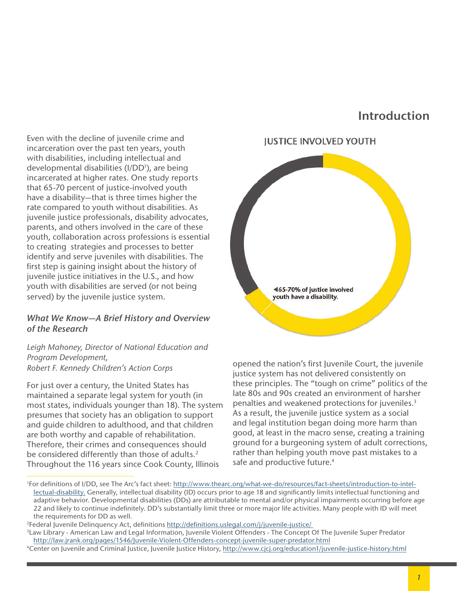# **Introduction**

Even with the decline of juvenile crime and incarceration over the past ten years, youth with disabilities, including intellectual and developmental disabilities (I/DD<sup>1</sup>), are being incarcerated at higher rates. One study reports that 65-70 percent of justice-involved youth have a disability—that is three times higher the rate compared to youth without disabilities. As juvenile justice professionals, disability advocates, parents, and others involved in the care of these youth, collaboration across professions is essential to creating strategies and processes to better identify and serve juveniles with disabilities. The frst step is gaining insight about the history of juvenile justice initiatives in the U.S., and how youth with disabilities are served (or not being served) by the juvenile justice system.

#### *What We Know—A Brief History and Overview of the Research*

*Leigh Mahoney, Director of National Education and Program Development, Robert F. Kennedy Children's Action Corps*

For just over a century, the United States has maintained a separate legal system for youth (in most states, individuals younger than 18). The system presumes that society has an obligation to support and guide children to adulthood, and that children are both worthy and capable of rehabilitation. Therefore, their crimes and consequences should be considered differently than those of adults.<sup>2</sup> Throughout the 116 years since Cook County, Illinois



opened the nation's first Juvenile Court, the juvenile justice system has not delivered consistently on these principles. The "tough on crime" politics of the late 80s and 90s created an environment of harsher penalties and weakened protections for juveniles.3 As a result, the juvenile justice system as a social and legal institution began doing more harm than good, at least in the macro sense, creating a training ground for a burgeoning system of adult corrections, rather than helping youth move past mistakes to a safe and productive future.<sup>4</sup>

<sup>&</sup>lt;sup>1</sup>For definitions of I/DD, see The Arc's fact sheet: [http://www.thearc.org/what-we-do/resources/fact-sheets/introduction-](http://www.thearc.org/what-we-do/resources/fact-sheets/introduction-to-intellectual-disability.)to-intellectual-disability. Generally, intellectual disability (ID) occurs prior to age 18 and signifcantly limits intellectual functioning and adaptive behavior. Developmental disabilities (DDs) are attributable to mental and/or physical impairments occurring before age 22 and likely to continue indefnitely. DD's substantially limit three or more major life activities. Many people with ID will meet the requirements for DD as well.

<sup>&</sup>lt;sup>2</sup>Federal Juvenile Delinquency Act, definitions <u>http://definitions.uslegal.com/j/juvenile-justice/</u><br><sup>3</sup>Law Library - American Law and Legal Information, Juvenile Violent Offenders - The Concept Of The Juvenile Super Pred http://law.jrank.org/pages/1546/Juvenile-Violent-Offenders-concept-juvenile-super-predator.html

<sup>4</sup>Center on Juvenile and Criminal Justice, Juvenile Justice History, [http://www.cjcj.org/education1/juvenile-justice-history.html](ttp://www.cjcj.org/education1/juvenile-justice-history.html)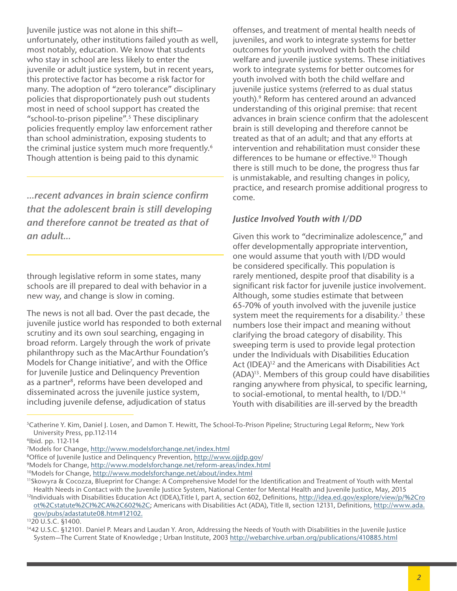Juvenile justice was not alone in this shift unfortunately, other institutions failed youth as well, most notably, education. We know that students who stay in school are less likely to enter the juvenile or adult justice system, but in recent years, this protective factor has become a risk factor for many. The adoption of "zero tolerance" disciplinary policies that disproportionately push out students most in need of school support has created the "school-to-prison pipeline".5 These disciplinary policies frequently employ law enforcement rather than school administration, exposing students to the criminal justice system much more frequently.<sup>6</sup> Though attention is being paid to this dynamic

*...recent advances in brain science confrm that the adolescent brain is still developing and therefore cannot be treated as that of an adult...*

through legislative reform in some states, many schools are ill prepared to deal with behavior in a new way, and change is slow in coming.

The news is not all bad. Over the past decade, the juvenile justice world has responded to both external scrutiny and its own soul searching, engaging in broad reform. Largely through the work of private philanthropy such as the MacArthur Foundation's Models for Change initiative<sup>7</sup>, and with the Office for Juvenile Justice and Delinquency Prevention as a partner<sup>8</sup>, reforms have been developed and disseminated across the juvenile justice system, including juvenile defense, adjudication of status

offenses, and treatment of mental health needs of juveniles, and work to integrate systems for better outcomes for youth involved with both the child welfare and juvenile justice systems. These initiatives work to integrate systems for better outcomes for youth involved with both the child welfare and juvenile justice systems (referred to as dual status youth).9 Reform has centered around an advanced understanding of this original premise: that recent advances in brain science confrm that the adolescent brain is still developing and therefore cannot be treated as that of an adult; and that any efforts at intervention and rehabilitation must consider these differences to be humane or effective.<sup>10</sup> Though there is still much to be done, the progress thus far is unmistakable, and resulting changes in policy, practice, and research promise additional progress to come.

## *Justice Involved Youth with I/DD*

Given this work to "decriminalize adolescence," and offer developmentally appropriate intervention, one would assume that youth with I/DD would be considered specifically. This population is rarely mentioned, despite proof that disability is a signifcant risk factor for juvenile justice involvement. Although, some studies estimate that between 65-70% of youth involved with the juvenile justice system meet the requirements for a disability.<sup>1</sup> these numbers lose their impact and meaning without clarifying the broad category of disability. This sweeping term is used to provide legal protection under the Individuals with Disabilities Education Act (IDEA)<sup>12</sup> and the Americans with Disabilities Act (ADA)13. Members of this group could have disabilities ranging anywhere from physical, to specific learning, to social-emotional, to mental health, to I/DD.14 Youth with disabilities are ill-served by the breadth

<sup>5</sup>Catherine Y. Kim, Daniel J. Losen, and Damon T. Hewitt, The School-To-Prison Pipeline; Structuring Legal Reform;, New York University Press, pp.112-114

<sup>6</sup>Ibid. pp. 112-114

<sup>7</sup>Models for Change, http://www.modelsforchange.net/index.html

<sup>&</sup>lt;sup>8</sup>Office of Juvenile Justice and Delinquency Prevention, http://www.ojjdp.gov/<br><sup>9</sup>Models for Change, http://www.modelsforchange.net/reform-areas/index.html

<sup>10</sup>Models for Change, http://www.modelsforchange.net/about/index.html

<sup>11</sup>Skowyra & Cocozza, Blueprint for Change: A Comprehensive Model for the Identifcation and Treatment of Youth with Mental Health Needs in Contact with the Juvenile Justice System, National Center for Mental Health and Juvenile Justice, May, 2015 <sup>12</sup>Individuals with Disabilities Education Act (IDEA),Title I, part A, section 602, Definitions, [http://idea.ed.gov/explore/view](http://idea.ed.gov/explore/view/p/%2Croot%2Cstatute%2CI%2CA%2C602%2C)/p/%2Cro

ot%2Cstatute%2CI%2CA%2C602%2C; Americans with Disabilities Act (ADA), Title II, section 12131, Defnitions, http://www.ada. gov/pubs/adastatute08.htm#12102.

<sup>1320</sup> U.S.C. §1400.

<sup>1442</sup> U.S.C. §12101. Daniel P. Mears and Laudan Y. Aron, Addressing the Needs of Youth with Disabilities in the Juvenile Justice System-The Current State of Knowledge; Urban Institute, 2003 http://webarchive.urban.org/publications/410885.html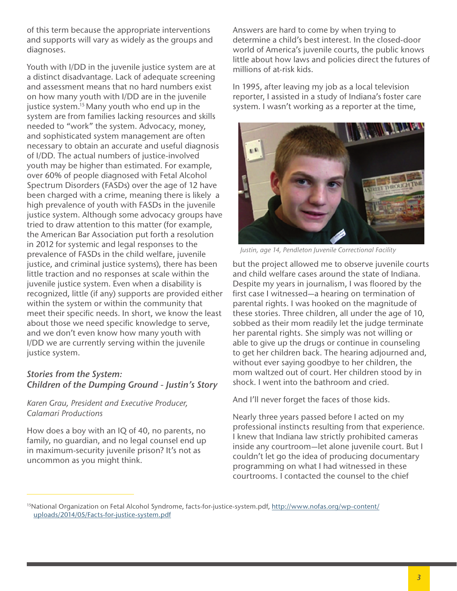of this term because the appropriate interventions and supports will vary as widely as the groups and diagnoses.

Youth with I/DD in the juvenile justice system are at a distinct disadvantage. Lack of adequate screening and assessment means that no hard numbers exist on how many youth with I/DD are in the juvenile justice system.<sup>15</sup> Many youth who end up in the system are from families lacking resources and skills needed to "work" the system. Advocacy, money, and sophisticated system management are often necessary to obtain an accurate and useful diagnosis of I/DD. The actual numbers of justice-involved youth may be higher than estimated. For example, over 60% of people diagnosed with Fetal Alcohol Spectrum Disorders (FASDs) over the age of 12 have been charged with a crime, meaning there is likely a high prevalence of youth with FASDs in the juvenile justice system. Although some advocacy groups have tried to draw attention to this matter (for example, the American Bar Association put forth a resolution in 2012 for systemic and legal responses to the prevalence of FASDs in the child welfare, juvenile justice, and criminal justice systems), there has been little traction and no responses at scale within the juvenile justice system. Even when a disability is recognized, little (if any) supports are provided either within the system or within the community that meet their specific needs. In short, we know the least about those we need specific knowledge to serve, and we don't even know how many youth with I/DD we are currently serving within the juvenile justice system.

# *Stories from the System: Children of the Dumping Ground - Justin's Story*

#### *Karen Grau, President and Executive Producer, Calamari Productions*

How does a boy with an IQ of 40, no parents, no family, no guardian, and no legal counsel end up in maximum-security juvenile prison? It's not as uncommon as you might think.

Answers are hard to come by when trying to determine a child's best interest. In the closed-door world of America's juvenile courts, the public knows little about how laws and policies direct the futures of millions of at-risk kids.

In 1995, after leaving my job as a local television reporter, I assisted in a study of Indiana's foster care system. I wasn't working as a reporter at the time,



*Justin, age 14, Pendleton Juvenile Correctional Facility*

but the project allowed me to observe juvenile courts and child welfare cases around the state of Indiana. Despite my years in journalism, I was floored by the first case I witnessed—a hearing on termination of parental rights. I was hooked on the magnitude of these stories. Three children, all under the age of 10, sobbed as their mom readily let the judge terminate her parental rights. She simply was not willing or able to give up the drugs or continue in counseling to get her children back. The hearing adjourned and, without ever saying goodbye to her children, the mom waltzed out of court. Her children stood by in shock. I went into the bathroom and cried.

And I'll never forget the faces of those kids.

Nearly three years passed before I acted on my professional instincts resulting from that experience. I knew that Indiana law strictly prohibited cameras inside any courtroom—let alone juvenile court. But I couldn't let go the idea of producing documentary programming on what I had witnessed in these courtrooms. I contacted the counsel to the chief

<sup>15</sup>National Organization on Fetal Alcohol Syndrome, [facts-for-justice-system.pdf](http://facts-for-justice-system.pdf), [http://www.nofas.org/wp-content/](http://www.nofas.org/wp-content/uploads/2014/05/Facts-for-justice-system.pdf) [uploads/2014/05/Facts-for-justice-system.pdf](http://www.nofas.org/wp-content/uploads/2014/05/Facts-for-justice-system.pdf)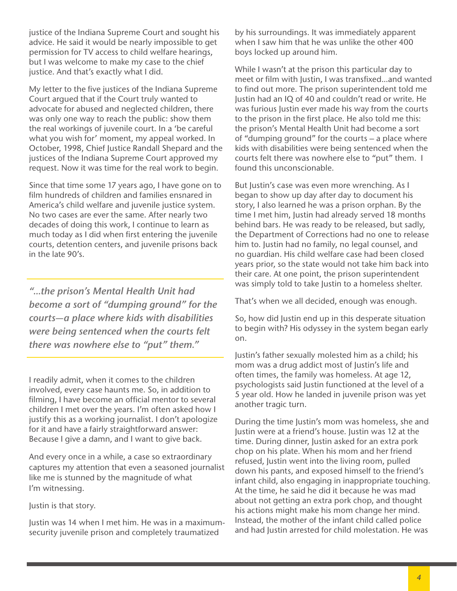justice of the Indiana Supreme Court and sought his advice. He said it would be nearly impossible to get permission for TV access to child welfare hearings, but I was welcome to make my case to the chief justice. And that's exactly what I did.

My letter to the five justices of the Indiana Supreme Court argued that if the Court truly wanted to advocate for abused and neglected children, there was only one way to reach the public: show them the real workings of juvenile court. In a 'be careful what you wish for' moment, my appeal worked. In October, 1998, Chief Justice Randall Shepard and the justices of the Indiana Supreme Court approved my request. Now it was time for the real work to begin.

Since that time some 17 years ago, I have gone on to film hundreds of children and families ensnared in America's child welfare and juvenile justice system. No two cases are ever the same. After nearly two decades of doing this work, I continue to learn as much today as I did when first entering the juvenile courts, detention centers, and juvenile prisons back in the late 90's.

*"...the prison's Mental Health Unit had become a sort of "dumping ground" for the courts—a place where kids with disabilities were being sentenced when the courts felt there was nowhere else to "put" them."*

I readily admit, when it comes to the children involved, every case haunts me. So, in addition to filming, I have become an official mentor to several children I met over the years. I'm often asked how I justify this as a working journalist. I don't apologize for it and have a fairly straightforward answer: Because I give a damn, and I want to give back.

And every once in a while, a case so extraordinary captures my attention that even a seasoned journalist like me is stunned by the magnitude of what I'm witnessing.

Justin is that story.

Justin was 14 when I met him. He was in a maximumsecurity juvenile prison and completely traumatized

by his surroundings. It was immediately apparent when I saw him that he was unlike the other 400 boys locked up around him.

While I wasn't at the prison this particular day to meet or film with Justin, I was transfixed...and wanted to find out more. The prison superintendent told me Justin had an IQ of 40 and couldn't read or write. He was furious Justin ever made his way from the courts to the prison in the first place. He also told me this: the prison's Mental Health Unit had become a sort of "dumping ground" for the courts – a place where kids with disabilities were being sentenced when the courts felt there was nowhere else to "put" them. I found this unconscionable.

But Justin's case was even more wrenching. As I began to show up day after day to document his story, I also learned he was a prison orphan. By the time I met him, Justin had already served 18 months behind bars. He was ready to be released, but sadly, the Department of Corrections had no one to release him to. Justin had no family, no legal counsel, and no guardian. His child welfare case had been closed years prior, so the state would not take him back into their care. At one point, the prison superintendent was simply told to take Justin to a homeless shelter.

That's when we all decided, enough was enough.

So, how did Justin end up in this desperate situation to begin with? His odyssey in the system began early on.

Justin's father sexually molested him as a child; his mom was a drug addict most of Justin's life and often times, the family was homeless. At age 12, psychologists said Justin functioned at the level of a 5 year old. How he landed in juvenile prison was yet another tragic turn.

During the time Justin's mom was homeless, she and Justin were at a friend's house. Justin was 12 at the time. During dinner, Justin asked for an extra pork chop on his plate. When his mom and her friend refused, Justin went into the living room, pulled down his pants, and exposed himself to the friend's infant child, also engaging in inappropriate touching. At the time, he said he did it because he was mad about not getting an extra pork chop, and thought his actions might make his mom change her mind. Instead, the mother of the infant child called police and had Justin arrested for child molestation. He was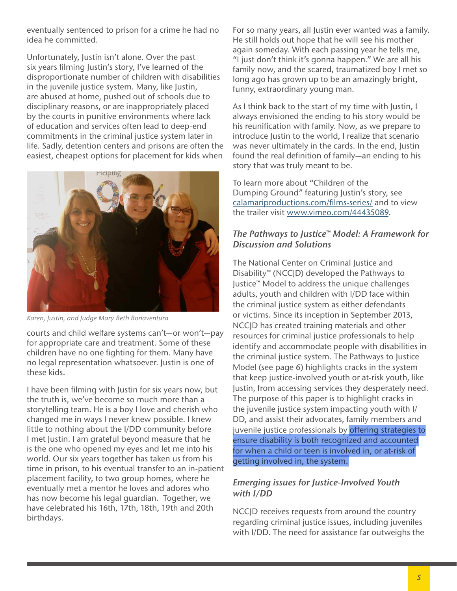eventually sentenced to prison for a crime he had no idea he committed.

Unfortunately, Justin isn't alone. Over the past six years flming Justin's story, I've learned of the disproportionate number of children with disabilities in the juvenile justice system. Many, like Justin, are abused at home, pushed out of schools due to disciplinary reasons, or are inappropriately placed by the courts in punitive environments where lack of education and services often lead to deep-end commitments in the criminal justice system later in life. Sadly, detention centers and prisons are often the easiest, cheapest options for placement for kids when



*Karen, Justin, and Judge Mary Beth Bonaventura*

courts and child welfare systems can't—or won't—pay for appropriate care and treatment. Some of these children have no one fighting for them. Many have no legal representation whatsoever. Justin is one of these kids.

I have been flming with Justin for six years now, but the truth is, we've become so much more than a storytelling team. He is a boy I love and cherish who changed me in ways I never knew possible. I knew little to nothing about the I/DD community before I met Justin. I am grateful beyond measure that he is the one who opened my eyes and let me into his world. Our six years together has taken us from his time in prison, to his eventual transfer to an in-patient placement facility, to two group homes, where he eventually met a mentor he loves and adores who has now become his legal guardian. Together, we have celebrated his 16th, 17th, 18th, 19th and 20th birthdays.

For so many years, all Justin ever wanted was a family. He still holds out hope that he will see his mother again someday. With each passing year he tells me, "I just don't think it's gonna happen." We are all his family now, and the scared, traumatized boy I met so long ago has grown up to be an amazingly bright, funny, extraordinary young man.

As I think back to the start of my time with Justin, I always envisioned the ending to his story would be his reunifcation with family. Now, as we prepare to introduce Justin to the world, I realize that scenario was never ultimately in the cards. In the end, Justin found the real definition of family-an ending to his story that was truly meant to be.

To learn more about "Children of the Dumping Ground" featuring Justin's story, see [calamariproductions.com/](http://calamariproductions.com/films-series/)films-series/ and to view the trailer visit [www.vimeo.com](http://www.vimeo.com/44435089)/44435089.

# *The Pathways to Justice™ Model: A Framework for Discussion and Solutions*

The National Center on Criminal Justice and Disability™ (NCCJD) developed the Pathways to Justice™ Model to address the unique challenges adults, youth and children with I/DD face within the criminal justice system as either defendants or victims. Since its inception in September 2013, NCCJD has created training materials and other resources for criminal justice professionals to help identify and accommodate people with disabilities in the criminal justice system. The Pathways to Justice Model (see page 6) highlights cracks in the system that keep justice-involved youth or at-risk youth, like Justin, from accessing services they desperately need. The purpose of this paper is to highlight cracks in the juvenile justice system impacting youth with I/ DD, and assist their advocates, family members and juvenile justice professionals by offering strategies to ensure disability is both recognized and accounted for when a child or teen is involved in, or at-risk of getting involved in, the system.

# *Emerging issues for Justice-Involved Youth with I/DD*

NCCJD receives requests from around the country regarding criminal justice issues, including juveniles with I/DD. The need for assistance far outweighs the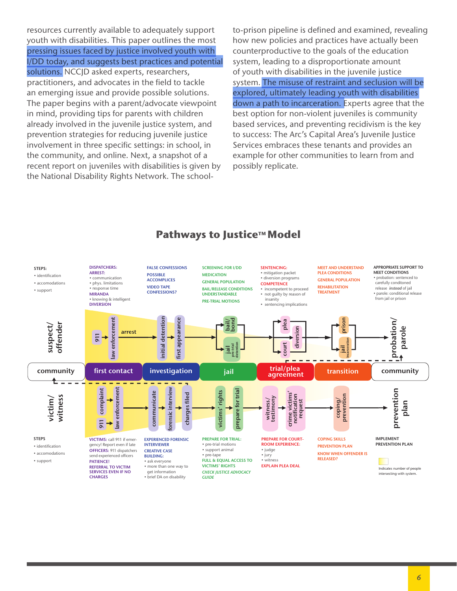resources currently available to adequately support youth with disabilities. This paper outlines the most pressing issues faced by justice involved youth with I/DD today, and suggests best practices and potential solutions. NCCID asked experts, researchers, practitioners, and advocates in the field to tackle an emerging issue and provide possible solutions. The paper begins with a parent/advocate viewpoint in mind, providing tips for parents with children already involved in the juvenile justice system, and prevention strategies for reducing juvenile justice involvement in three specific settings: in school, in the community, and online. Next, a snapshot of a recent report on juveniles with disabilities is given by the National Disability Rights Network. The schoolto-prison pipeline is defned and examined, revealing how new policies and practices have actually been counterproductive to the goals of the education system, leading to a disproportionate amount of youth with disabilities in the juvenile justice system. The misuse of restraint and seclusion will be explored, ultimately leading youth with disabilities down a path to incarceration. Experts agree that the best option for non-violent juveniles is community based services, and preventing recidivism is the key to success: The Arc's Capital Area's Juvenile Justice Services embraces these tenants and provides an example for other communities to learn from and possibly replicate.



# **Pathways to Justice™ Model**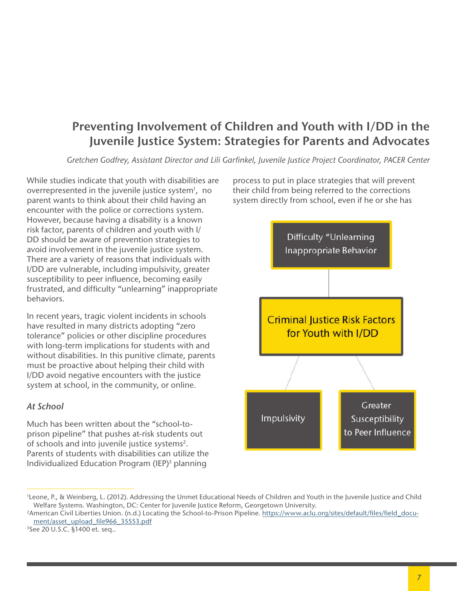# **Preventing Involvement of Children and Youth with I/DD in the Juvenile Justice System: Strategies for Parents and Advocates**

*Gretchen Godfrey, Assistant Director and Lili Garfnkel, Juvenile Justice Project Coordinator, PACER Center*

While studies indicate that youth with disabilities are overrepresented in the juvenile justice system<sup>1</sup>, no parent wants to think about their child having an encounter with the police or corrections system. However, because having a disability is a known risk factor, parents of children and youth with I/ DD should be aware of prevention strategies to avoid involvement in the juvenile justice system. There are a variety of reasons that individuals with I/DD are vulnerable, including impulsivity, greater susceptibility to peer infuence, becoming easily frustrated, and difficulty "unlearning" inappropriate behaviors.

In recent years, tragic violent incidents in schools have resulted in many districts adopting "zero tolerance" policies or other discipline procedures with long-term implications for students with and without disabilities. In this punitive climate, parents must be proactive about helping their child with I/DD avoid negative encounters with the justice system at school, in the community, or online.

#### *At School*

Much has been written about the "school-toprison pipeline" that pushes at-risk students out of schools and into juvenile justice systems<sup>2</sup>. Parents of students with disabilities can utilize the Individualized Education Program (IEP)3 planning

process to put in place strategies that will prevent their child from being referred to the corrections system directly from school, even if he or she has



3 See 20 U.S.C. §1400 et. seq..

<sup>1</sup> Leone, P., & Weinberg, L. (2012). Addressing the Unmet Educational Needs of Children and Youth in the Juvenile Justice and Child Welfare Systems. Washington, DC: Center for Juvenile Justice Reform, Georgetown University.

<sup>&</sup>lt;sup>2</sup>American Civil Liberties Union. (n.d.) Locating the School-to-Prison Pipeline. https://www.aclu.org/sites/default/files/field\_document/asset\_upload\_fle966\_35553.pdf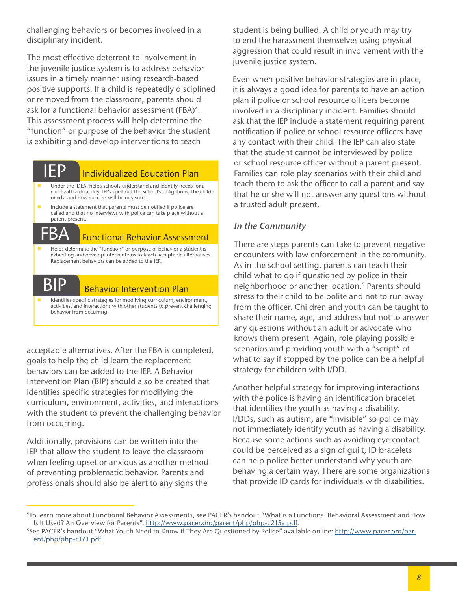challenging behaviors or becomes involved in a disciplinary incident.

The most effective deterrent to involvement in the juvenile justice system is to address behavior issues in a timely manner using research-based positive supports. If a child is repeatedly disciplined or removed from the classroom, parents should ask for a functional behavior assessment (FBA)<sup>4</sup>. This assessment process will help determine the "function" or purpose of the behavior the student is exhibiting and develop interventions to teach

# IEP

# Individualized Education Plan

- Under the IDEA, helps schools understand and identify needs for a child with a disability. IEPs spell out the school's obligations, the child's needs, and how success will be measured.
- Include a statement that parents must be notifed if police are called and that no interviews with police can take place without a parent present.

# Functional Behavior Assessment

 Helps determine the "function" or purpose of behavior a student is exhibiting and develop interventions to teach acceptable alternatives. Replacement behaviors can be added to the IEP.



 $\mathsf{B}\mathsf{\Delta}$ 

## Behavior Intervention Plan

Identifies specific strategies for modifying curriculum, environment, activities, and interactions with other students to prevent challenging behavior from occurring.

acceptable alternatives. After the FBA is completed, goals to help the child learn the replacement behaviors can be added to the IEP. A Behavior Intervention Plan (BIP) should also be created that identifies specific strategies for modifying the curriculum, environment, activities, and interactions with the student to prevent the challenging behavior from occurring.

Additionally, provisions can be written into the IEP that allow the student to leave the classroom when feeling upset or anxious as another method of preventing problematic behavior. Parents and professionals should also be alert to any signs the

student is being bullied. A child or youth may try to end the harassment themselves using physical aggression that could result in involvement with the juvenile justice system.

Even when positive behavior strategies are in place, it is always a good idea for parents to have an action plan if police or school resource officers become involved in a disciplinary incident. Families should ask that the IEP include a statement requiring parent notification if police or school resource officers have any contact with their child. The IEP can also state that the student cannot be interviewed by police or school resource officer without a parent present. Families can role play scenarios with their child and teach them to ask the officer to call a parent and say that he or she will not answer any questions without a trusted adult present.

# *In the Community*

There are steps parents can take to prevent negative encounters with law enforcement in the community. As in the school setting, parents can teach their child what to do if questioned by police in their neighborhood or another location.<sup>5</sup> Parents should stress to their child to be polite and not to run away from the officer. Children and youth can be taught to share their name, age, and address but not to answer any questions without an adult or advocate who knows them present. Again, role playing possible scenarios and providing youth with a "script" of what to say if stopped by the police can be a helpful strategy for children with I/DD.

Another helpful strategy for improving interactions with the police is having an identification bracelet that identifes the youth as having a disability. I/DDs, such as autism, are "invisible" so police may not immediately identify youth as having a disability. Because some actions such as avoiding eye contact could be perceived as a sign of guilt, ID bracelets can help police better understand why youth are behaving a certain way. There are some organizations that provide ID cards for individuals with disabilities.

<sup>4</sup>To learn more about Functional Behavior Assessments, see PACER's handout "What is a Functional Behavioral Assessment and How Is It Used? An Overview for Parents", http://www.pacer.org/parent/php/php-c215a.pdf.

<sup>&</sup>lt;sup>5</sup>See PACER's handout "What Youth Need to Know if They Are Questioned by Police" available online: http://www.pacer.org/parent/php/php-c171.pdf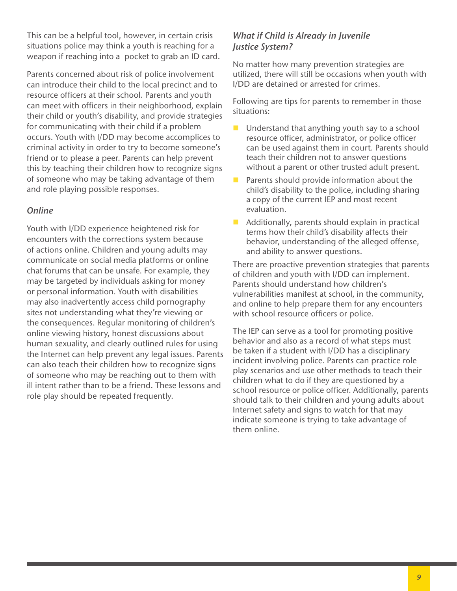This can be a helpful tool, however, in certain crisis situations police may think a youth is reaching for a weapon if reaching into a pocket to grab an ID card.

Parents concerned about risk of police involvement can introduce their child to the local precinct and to resource officers at their school. Parents and youth can meet with officers in their neighborhood, explain their child or youth's disability, and provide strategies for communicating with their child if a problem occurs. Youth with I/DD may become accomplices to criminal activity in order to try to become someone's friend or to please a peer. Parents can help prevent this by teaching their children how to recognize signs of someone who may be taking advantage of them and role playing possible responses.

# *Online*

Youth with I/DD experience heightened risk for encounters with the corrections system because of actions online. Children and young adults may communicate on social media platforms or online chat forums that can be unsafe. For example, they may be targeted by individuals asking for money or personal information. Youth with disabilities may also inadvertently access child pornography sites not understanding what they're viewing or the consequences. Regular monitoring of children's online viewing history, honest discussions about human sexuality, and clearly outlined rules for using the Internet can help prevent any legal issues. Parents can also teach their children how to recognize signs of someone who may be reaching out to them with ill intent rather than to be a friend. These lessons and role play should be repeated frequently.

# *What if Child is Already in Juvenile Justice System?*

No matter how many prevention strategies are utilized, there will still be occasions when youth with I/DD are detained or arrested for crimes.

Following are tips for parents to remember in those situations:

- $\blacksquare$  Understand that anything youth say to a school resource officer, administrator, or police officer can be used against them in court. Parents should teach their children not to answer questions without a parent or other trusted adult present.
- **Parents should provide information about the** child's disability to the police, including sharing a copy of the current IEP and most recent evaluation.
- $\blacksquare$  Additionally, parents should explain in practical terms how their child's disability affects their behavior, understanding of the alleged offense, and ability to answer questions.

There are proactive prevention strategies that parents of children and youth with I/DD can implement. Parents should understand how children's vulnerabilities manifest at school, in the community, and online to help prepare them for any encounters with school resource officers or police.

The IEP can serve as a tool for promoting positive behavior and also as a record of what steps must be taken if a student with I/DD has a disciplinary incident involving police. Parents can practice role play scenarios and use other methods to teach their children what to do if they are questioned by a school resource or police officer. Additionally, parents should talk to their children and young adults about Internet safety and signs to watch for that may indicate someone is trying to take advantage of them online.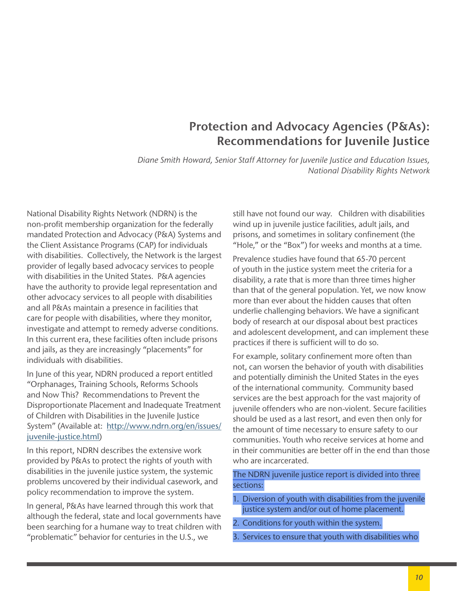# **Protection and Advocacy Agencies (P&As): Recommendations for Juvenile Justice**

*Diane Smith Howard, Senior Staff Attorney for Juvenile Justice and Education Issues, National Disability Rights Network*

National Disability Rights Network (NDRN) is the non-profit membership organization for the federally mandated Protection and Advocacy (P&A) Systems and the Client Assistance Programs (CAP) for individuals with disabilities. Collectively, the Network is the largest provider of legally based advocacy services to people with disabilities in the United States. P&A agencies have the authority to provide legal representation and other advocacy services to all people with disabilities and all P&As maintain a presence in facilities that care for people with disabilities, where they monitor, investigate and attempt to remedy adverse conditions. In this current era, these facilities often include prisons and jails, as they are increasingly "placements" for individuals with disabilities.

In June of this year, NDRN produced a report entitled "Orphanages, Training Schools, Reforms Schools and Now This? Recommendations to Prevent the Disproportionate Placement and Inadequate Treatment of Children with Disabilities in the Juvenile Justice System" (Available at: [http://www.ndrn.org/en/issues/](http://www.ndrn.org/en/issues/juvenile-justice.html) [juvenile-justice.html\)](http://www.ndrn.org/en/issues/juvenile-justice.html)

In this report, NDRN describes the extensive work provided by P&As to protect the rights of youth with disabilities in the juvenile justice system, the systemic problems uncovered by their individual casework, and policy recommendation to improve the system.

In general, P&As have learned through this work that although the federal, state and local governments have been searching for a humane way to treat children with "problematic" behavior for centuries in the U.S., we

still have not found our way. Children with disabilities wind up in juvenile justice facilities, adult jails, and prisons, and sometimes in solitary confnement (the "Hole," or the "Box") for weeks and months at a time.

Prevalence studies have found that 65-70 percent of youth in the justice system meet the criteria for a disability, a rate that is more than three times higher than that of the general population. Yet, we now know more than ever about the hidden causes that often underlie challenging behaviors. We have a signifcant body of research at our disposal about best practices and adolescent development, and can implement these practices if there is sufficient will to do so.

For example, solitary confinement more often than not, can worsen the behavior of youth with disabilities and potentially diminish the United States in the eyes of the international community. Community based services are the best approach for the vast majority of juvenile offenders who are non-violent. Secure facilities should be used as a last resort, and even then only for the amount of time necessary to ensure safety to our communities. Youth who receive services at home and in their communities are better off in the end than those who are incarcerated.

## The NDRN juvenile justice report is divided into three sections:

- 1. Diversion of youth with disabilities from the juvenile justice system and/or out of home placement.
- 2. Conditions for youth within the system.
- 3. Services to ensure that youth with disabilities who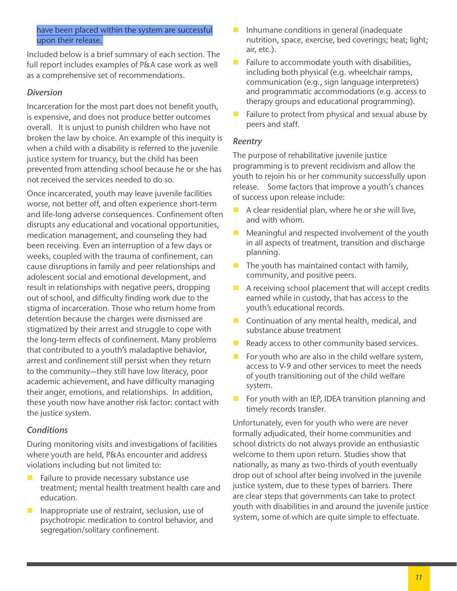#### have been placed within the system are successful upon their release.

Included below is a brief summary of each section. The full report includes examples of P&A case work as well as a comprehensive set of recommendations.

## *Diversion*

Incarceration for the most part does not benefit youth, is expensive, and does not produce better outcomes overall. It is unjust to punish children who have not broken the law by choice. An example of this inequity is when a child with a disability is referred to the juvenile justice system for truancy, but the child has been prevented from attending school because he or she has not received the services needed to do so.

Once incarcerated, youth may leave juvenile facilities worse, not better off, and often experience short-term and life-long adverse consequences. Confnement often disrupts any educational and vocational opportunities, medication management, and counseling they had been receiving. Even an interruption of a few days or weeks, coupled with the trauma of confinement, can cause disruptions in family and peer relationships and adolescent social and emotional development, and result in relationships with negative peers, dropping out of school, and difficulty finding work due to the stigma of incarceration. Those who return home from detention because the charges were dismissed are stigmatized by their arrest and struggle to cope with the long-term effects of confnement. Many problems that contributed to a youth's maladaptive behavior, arrest and confnement still persist when they return to the community—they still have low literacy, poor academic achievement, and have difficulty managing their anger, emotions, and relationships. In addition, these youth now have another risk factor: contact with the justice system.

# *Conditions*

During monitoring visits and investigations of facilities where youth are held, P&As encounter and address violations including but not limited to:

- $\blacksquare$  Failure to provide necessary substance use treatment; mental health treatment health care and education.
- **Inappropriate use of restraint, seclusion, use of** psychotropic medication to control behavior, and segregation/solitary confnement.
- $\blacksquare$  Inhumane conditions in general (inadequate nutrition, space, exercise, bed coverings; heat; light; air, etc.).
- $\blacksquare$  Failure to accommodate youth with disabilities, including both physical (e.g. wheelchair ramps, communication (e.g., sign language interpreters) and programmatic accommodations (e.g. access to therapy groups and educational programming).
- $\blacksquare$  Failure to protect from physical and sexual abuse by peers and staff.

#### *Reentry*

The purpose of rehabilitative juvenile justice programming is to prevent recidivism and allow the youth to rejoin his or her community successfully upon release. Some factors that improve a youth's chances of success upon release include:

- $\blacksquare$  A clear residential plan, where he or she will live, and with whom.
- Meaningful and respected involvement of the youth in all aspects of treatment, transition and discharge planning.
- $\blacksquare$  The youth has maintained contact with family, community, and positive peers.
- $\blacksquare$  A receiving school placement that will accept credits earned while in custody, that has access to the youth's educational records.
- Continuation of any mental health, medical, and substance abuse treatment
- Ready access to other community based services.
- For youth who are also in the child welfare system, access to V-9 and other services to meet the needs of youth transitioning out of the child welfare system.
- $\blacksquare$  For youth with an IEP, IDEA transition planning and timely records transfer.

Unfortunately, even for youth who were are never formally adjudicated, their home communities and school districts do not always provide an enthusiastic welcome to them upon return. Studies show that nationally, as many as two-thirds of youth eventually drop out of school after being involved in the juvenile justice system, due to these types of barriers. There are clear steps that governments can take to protect youth with disabilities in and around the juvenile justice system, some of which are quite simple to effectuate.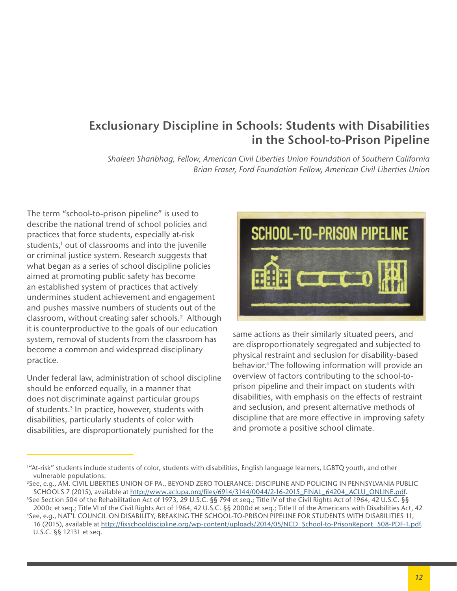# **Exclusionary Discipline in Schools: Students with Disabilities in the School-to-Prison Pipeline**

*Shaleen Shanbhag, Fellow, American Civil Liberties Union Foundation of Southern California Brian Fraser, Ford Foundation Fellow, American Civil Liberties Union*

The term "school-to-prison pipeline" is used to describe the national trend of school policies and practices that force students, especially at-risk students,<sup>1</sup> out of classrooms and into the juvenile or criminal justice system. Research suggests that what began as a series of school discipline policies aimed at promoting public safety has become an established system of practices that actively undermines student achievement and engagement and pushes massive numbers of students out of the classroom, without creating safer schools.<sup>2</sup> Although it is counterproductive to the goals of our education system, removal of students from the classroom has become a common and widespread disciplinary practice.

Under federal law, administration of school discipline should be enforced equally, in a manner that does not discriminate against particular groups of students.<sup>3</sup> In practice, however, students with disabilities, particularly students of color with disabilities, are disproportionately punished for the



same actions as their similarly situated peers, and are disproportionately segregated and subjected to physical restraint and seclusion for disability-based behavior.4 The following information will provide an overview of factors contributing to the school-toprison pipeline and their impact on students with disabilities, with emphasis on the effects of restraint and seclusion, and present alternative methods of discipline that are more effective in improving safety and promote a positive school climate.

<sup>1</sup> "At-risk" students include students of color, students with disabilities, English language learners, LGBTQ youth, and other vulnerable populations.<br><sup>2</sup>See, e.g., AM. CIVIL LIBERTIES UNION OF PA., BEYOND ZERO TOLERANCE: DISCIPLINE AND POLICING IN PENNSYLVANIA PUBLIC

SCHOOLS 7 (2015), available at http://www.aclupa.org/f[les/6914/3144/0044/2-16-2015\\_FINAL\\_64204\\_ACLU\\_ONLINE.pdf.](http://www.aclupa.org/files/6914/3144/0044/2-16-2015_FINAL_64204_ACLU_ONLINE.pdf)

<sup>3</sup> See Section 504 of the Rehabilitation Act of 1973, 29 U.S.C. §§ 794 et seq.; Title IV of the Civil Rights Act of 1964, 42 U.S.C. §§ 2000c et seq.; Title VI of the Civil Rights Act of 1964, 42 U.S.C. §§ 2000d et seq.; Title II of the Americans with Disabilities Act, 42 4

See, e.g., NAT'L COUNCIL ON DISABILITY, BREAKING THE SCHOOL-TO-PRISON PIPELINE FOR STUDENTS WITH DISABILITIES 11, 16 (2015), available at http://f[xschooldiscipline.org/wp-content/uploads/2014/05/NCD\\_School-to-PrisonReport\\_508-PDF-1.pdf](http://fixschooldiscipline.org/wp-content/uploads/2014/05/NCD_School-to-PrisonReport_508-PDF-1.pdf). U.S.C. §§ 12131 et seq.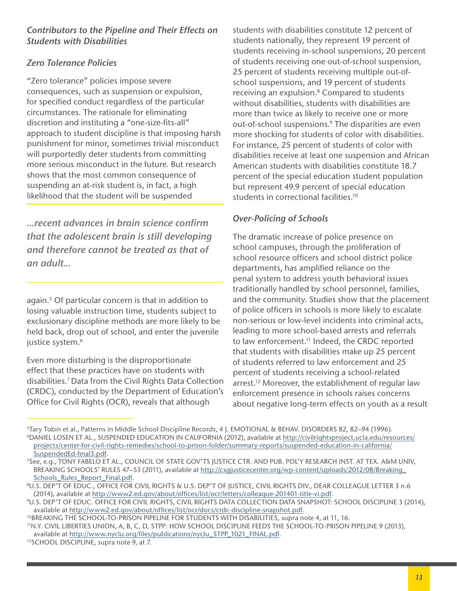## *Contributors to the Pipeline and Their Effects on Students with Disabilities*

# *Zero Tolerance Policies*

"Zero tolerance" policies impose severe consequences, such as suspension or expulsion, for specifed conduct regardless of the particular circumstances. The rationale for eliminating discretion and instituting a "one-size-fts-all" approach to student discipline is that imposing harsh punishment for minor, sometimes trivial misconduct will purportedly deter students from committing more serious misconduct in the future. But research shows that the most common consequence of suspending an at-risk student is, in fact, a high likelihood that the student will be suspended

*...recent advances in brain science confrm that the adolescent brain is still developing and therefore cannot be treated as that of an adult...*

again.5 Of particular concern is that in addition to losing valuable instruction time, students subject to exclusionary discipline methods are more likely to be held back, drop out of school, and enter the juvenile justice system.<sup>6</sup>

Even more disturbing is the disproportionate effect that these practices have on students with disabilities.7 Data from the Civil Rights Data Collection (CRDC), conducted by the Department of Education's Office for Civil Rights (OCR), reveals that although

students with disabilities constitute 12 percent of students nationally, they represent 19 percent of students receiving in-school suspensions, 20 percent of students receiving one out-of-school suspension, 25 percent of students receiving multiple out-ofschool suspensions, and 19 percent of students receiving an expulsion.<sup>8</sup> Compared to students without disabilities, students with disabilities are more than twice as likely to receive one or more out-of-school suspensions.<sup>9</sup> The disparities are even more shocking for students of color with disabilities. For instance, 25 percent of students of color with disabilities receive at least one suspension and African American students with disabilities constitute 18.7 percent of the special education student population but represent 49.9 percent of special education students in correctional facilities.10

# *Over-Policing of Schools*

The dramatic increase of police presence on school campuses, through the proliferation of school resource officers and school district police departments, has amplifed reliance on the penal system to address youth behavioral issues traditionally handled by school personnel, families, and the community. Studies show that the placement of police officers in schools is more likely to escalate non-serious or low-level incidents into criminal acts, leading to more school-based arrests and referrals to law enforcement.<sup>11</sup> Indeed, the CRDC reported that students with disabilities make up 25 percent of students referred to law enforcement and 25 percent of students receiving a school-related arrest.<sup>12</sup> Moreover, the establishment of regular law enforcement presence in schools raises concerns about negative long-term effects on youth as a result

<sup>5</sup>Tary Tobin et al., Patterns in Middle School Discipline Records, 4 J. EMOTIONAL & BEHAV. DISORDERS 82, 82–94 (1996). 6DANIEL LOSEN ET AL., SUSPENDED EDUCATION IN CALIFORNIA (2012), available at http://civilrightsproject.ucla.edu/resources/ projects/center-for-civil-rights-remedies/school-to-prison-folder/summary-reports/suspended-education-in-california/ SuspendedEd-final3.pdf.<br><sup>7</sup>See, e.g., TONY FABELO ET AL., COUNCIL OF STATE GOV'TS JUSTICE CTR. AND PUB. POL'Y RESEARCH INST. AT TEX. A&M UNIV,

BREAKING SCHOOLS' RULES 47-53 (2011), available at http://csgjusticecenter.org/wp-content/uploads/2012/08/Breaking [Schools\\_Rules\\_Report\\_Final.pdf](http://csgjusticecenter.org/wp-content/uploads/2012/08/Breaking_Schools_Rules_Report_Final.pdf.).

<sup>8</sup>U.S. DEP'T OF EDUC., OFFICE FOR CIVIL RIGHTS & U.S. DEP'T OF JUSTICE, CIVIL RIGHTS DIV., DEAR COLLEAGUE LETTER 3 n.6 (2014), available at http://www2.ed.gov/about/offices/list/ocr/letters/colleague-201401-title-vi.pdf.<br>9U.S. DEP'T OF EDUC. OFFICE FOR CIVIL RIGHTS, CIVIL RIGHTS DATA COLLECTION DATA SNAPSHOT: SCHOOL DISCIPLINE 3 (2014),

available at http://www2.ed.gov/about/offi[ces/list/ocr/docs/crdc-discipline-snapshot.pdf](http://www2.ed.gov/about/offices/list/ocr/docs/crdc-discipline-snapshot.pdf.).

<sup>&</sup>lt;sup>10</sup>BREAKING THE SCHOOL-TO-PRISON PIPELINE FOR STUDENTS WITH DISABILITIES, supra note 4, at 11, 16.

<sup>11</sup>N.Y. CIVIL LIBERTIES UNION, A, B, C, D, STPP: HOW SCHOOL DISCIPLINE FEEDS THE SCHOOL-TO-PRISON PIPELINE 9 (2013), available at http://www.nyclu.org/fi[les/publications/nyclu\\_STPP\\_1021\\_FINAL.pdf](http://www.nyclu.org/files/publications/nyclu_STPP_1021_FINAL.pdf.).<br><sup>12</sup>SCHOOL DISCIPLINE, supra note 9, at 7.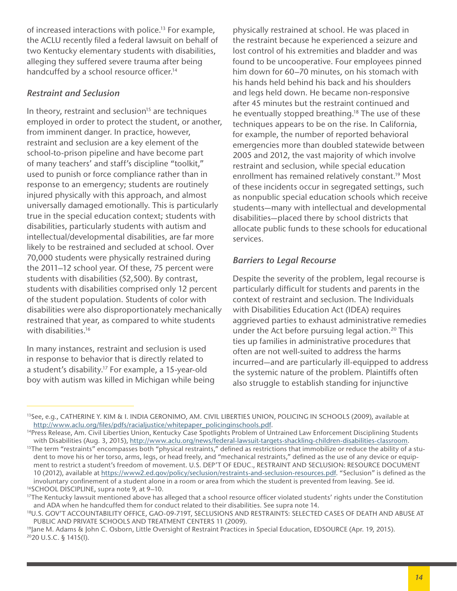of increased interactions with police.13 For example, the ACLU recently fled a federal lawsuit on behalf of two Kentucky elementary students with disabilities, alleging they suffered severe trauma after being handcuffed by a school resource officer.<sup>14</sup>

#### *Restraint and Seclusion*

In theory, restraint and seclusion<sup>15</sup> are techniques employed in order to protect the student, or another, from imminent danger. In practice, however, restraint and seclusion are a key element of the school-to-prison pipeline and have become part of many teachers' and staff's discipline "toolkit," used to punish or force compliance rather than in response to an emergency; students are routinely injured physically with this approach, and almost universally damaged emotionally. This is particularly true in the special education context; students with disabilities, particularly students with autism and intellectual/developmental disabilities, are far more likely to be restrained and secluded at school. Over 70,000 students were physically restrained during the 2011–12 school year. Of these, 75 percent were students with disabilities (52,500). By contrast, students with disabilities comprised only 12 percent of the student population. Students of color with disabilities were also disproportionately mechanically restrained that year, as compared to white students with disabilities.<sup>16</sup>

In many instances, restraint and seclusion is used in response to behavior that is directly related to a student's disability.17 For example, a 15-year-old boy with autism was killed in Michigan while being physically restrained at school. He was placed in the restraint because he experienced a seizure and lost control of his extremities and bladder and was found to be uncooperative. Four employees pinned him down for 60–70 minutes, on his stomach with his hands held behind his back and his shoulders and legs held down. He became non-responsive after 45 minutes but the restraint continued and he eventually stopped breathing.<sup>18</sup> The use of these techniques appears to be on the rise. In California, for example, the number of reported behavioral emergencies more than doubled statewide between 2005 and 2012, the vast majority of which involve restraint and seclusion, while special education enrollment has remained relatively constant.<sup>19</sup> Most of these incidents occur in segregated settings, such as nonpublic special education schools which receive students—many with intellectual and developmental disabilities—placed there by school districts that allocate public funds to these schools for educational services.

## *Barriers to Legal Recourse*

Despite the severity of the problem, legal recourse is particularly difficult for students and parents in the context of restraint and seclusion. The Individuals with Disabilities Education Act (IDEA) requires aggrieved parties to exhaust administrative remedies under the Act before pursuing legal action.<sup>20</sup> This ties up families in administrative procedures that often are not well-suited to address the harms incurred—and are particularly ill-equipped to address the systemic nature of the problem. Plaintiffs often also struggle to establish standing for injunctive

<sup>13</sup>See, e.g., CATHERINE Y. KIM & I. INDIA GERONIMO, AM. CIVIL LIBERTIES UNION, POLICING IN SCHOOLS (2009), available at

http://www.aclu.org/files/pdfs/racialjustice/whitepaper\_policinginschools.pdf.<br><sup>14</sup>Press Release, Am. Civil Liberties Union, Kentucky Case Spotlights Problem of Untrained Law Enforcement Disciplining Students<br>with Disabili

<sup>&</sup>lt;sup>15</sup>The term "restraints" encompasses both "physical restraints," defined as restrictions that immobilize or reduce the ability of a student to move his or her torso, arms, legs, or head freely, and "mechanical restraints," defned as the use of any device or equipment to restrict a student's freedom of movement. U.S. DEP'T OF EDUC., RESTRAINT AND SECLUSION: RESOURCE DOCUMENT 10 (2012), available at [https://www2.ed.gov/policy/seclusion/restraints-and-seclusion-resources.pdf](https://www2.ed.gov/policy/seclusion/restraints-and-seclusion-resources.pdf.). "Seclusion" is defned as the involuntary confinement of a student alone in a room or area from which the student is prevented from leaving. See id.<br><sup>16</sup>SCHOOL DISCIPLINE, supra note 9, at 9–10.

<sup>&</sup>lt;sup>17</sup>The Kentucky lawsuit mentioned above has alleged that a school resource officer violated students' rights under the Constitution and ADA when he handcuffed them for conduct related to their disabilities. See supra note 14.

<sup>18</sup>U.S. GOV'T ACCOUNTABILITY OFFICE, GAO-09-719T, SECLUSIONS AND RESTRAINTS: SELECTED CASES OF DEATH AND ABUSE AT PUBLIC AND PRIVATE SCHOOLS AND TREATMENT CENTERS 11 (2009).<br><sup>19</sup>Jane M. Adams & John C. Osborn, Little Oversight of Restraint Practices in Special Education, EDSOURCE (Apr. 19, 2015).

<sup>2020</sup> U.S.C. § 1415(l).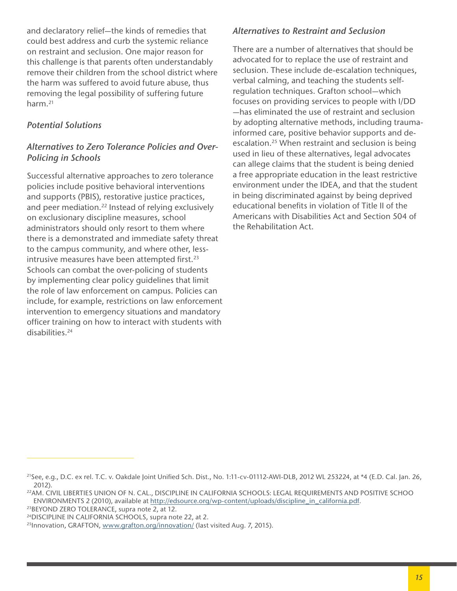and declaratory relief—the kinds of remedies that could best address and curb the systemic reliance on restraint and seclusion. One major reason for this challenge is that parents often understandably remove their children from the school district where the harm was suffered to avoid future abuse, thus removing the legal possibility of suffering future harm.21

# *Potential Solutions*

# *Alternatives to Zero Tolerance Policies and Over-Policing in Schools*

Successful alternative approaches to zero tolerance policies include positive behavioral interventions and supports (PBIS), restorative justice practices, and peer mediation.<sup>22</sup> Instead of relying exclusively on exclusionary discipline measures, school administrators should only resort to them where there is a demonstrated and immediate safety threat to the campus community, and where other, lessintrusive measures have been attempted first.<sup>23</sup> Schools can combat the over-policing of students by implementing clear policy guidelines that limit the role of law enforcement on campus. Policies can include, for example, restrictions on law enforcement intervention to emergency situations and mandatory officer training on how to interact with students with disabilities.24

## *Alternatives to Restraint and Seclusion*

There are a number of alternatives that should be advocated for to replace the use of restraint and seclusion. These include de-escalation techniques, verbal calming, and teaching the students selfregulation techniques. Grafton school—which focuses on providing services to people with I/DD —has eliminated the use of restraint and seclusion by adopting alternative methods, including traumainformed care, positive behavior supports and deescalation.<sup>25</sup> When restraint and seclusion is being used in lieu of these alternatives, legal advocates can allege claims that the student is being denied a free appropriate education in the least restrictive environment under the IDEA, and that the student in being discriminated against by being deprived educational benefits in violation of Title II of the Americans with Disabilities Act and Section 504 of the Rehabilitation Act.

<sup>&</sup>lt;sup>21</sup>See, e.g., D.C. ex rel. T.C. v. Oakdale Joint Unified Sch. Dist., No. 1:11-cv-01112-AWI-DLB, 2012 WL 253224, at \*4 (E.D. Cal. Jan. 26, 2012).

<sup>22</sup>AM. CIVIL LIBERTIES UNION OF N. CAL., DISCIPLINE IN CALIFORNIA SCHOOLS: LEGAL REQUIREMENTS AND POSITIVE SCHOO ENVIRONMENTS 2 (2010), available at [http://edsource.org/wp-content/uploads/discipline\\_in\\_california.pdf](http://edsource.org/wp-content/uploads/discipline_in_california.pdf). <sup>23</sup>BEYOND ZERO TOLERANCE, supra note 2, at 12.

<sup>&</sup>lt;sup>24</sup>DISCIPLINE IN CALIFORNIA SCHOOLS, supra note 22, at 2.

<sup>&</sup>lt;sup>25</sup> Innovation, GRAFTON, www.grafton.org/innovation/ (last visited Aug. 7, 2015).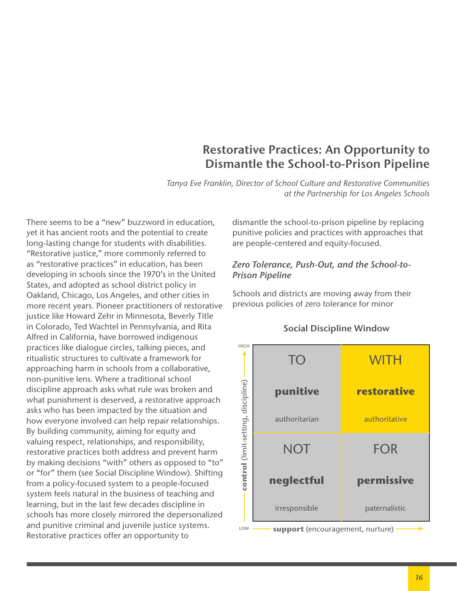# **Restorative Practices: An Opportunity to Dismantle the School-to-Prison Pipeline**

*Tanya Eve Franklin, Director of School Culture and Restorative Communities at the Partnership for Los Angeles Schools*

There seems to be a "new" buzzword in education, yet it has ancient roots and the potential to create long-lasting change for students with disabilities. "Restorative justice," more commonly referred to as "restorative practices" in education, has been developing in schools since the 1970's in the United States, and adopted as school district policy in Oakland, Chicago, Los Angeles, and other cities in more recent years. Pioneer practitioners of restorative justice like Howard Zehr in Minnesota, Beverly Title in Colorado, Ted Wachtel in Pennsylvania, and Rita Alfred in California, have borrowed indigenous practices like dialogue circles, talking pieces, and ritualistic structures to cultivate a framework for approaching harm in schools from a collaborative, non-punitive lens. Where a traditional school discipline approach asks what rule was broken and what punishment is deserved, a restorative approach asks who has been impacted by the situation and how everyone involved can help repair relationships. By building community, aiming for equity and valuing respect, relationships, and responsibility, restorative practices both address and prevent harm by making decisions "with" others as opposed to "to" or "for" them (see Social Discipline Window). Shifting from a policy-focused system to a people-focused system feels natural in the business of teaching and learning, but in the last few decades discipline in schools has more closely mirrored the depersonalized and punitive criminal and juvenile justice systems. Restorative practices offer an opportunity to

dismantle the school-to-prison pipeline by replacing punitive policies and practices with approaches that are people-centered and equity-focused.

# *Zero Tolerance, Push-Out, and the School-to-Prison Pipeline*

Schools and districts are moving away from their previous policies of zero tolerance for minor



#### **Social Discipline Window**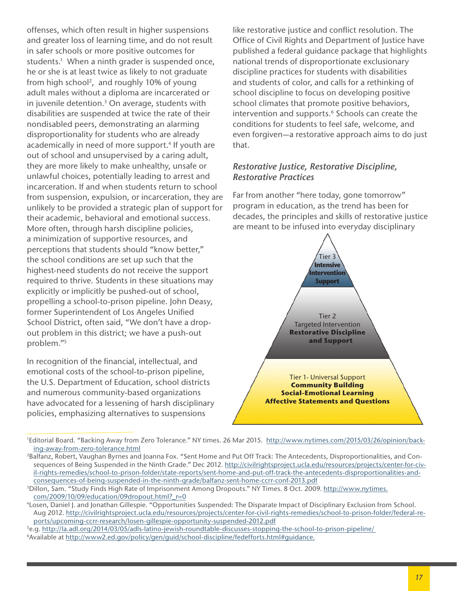offenses, which often result in higher suspensions and greater loss of learning time, and do not result in safer schools or more positive outcomes for students.<sup>1</sup> When a ninth grader is suspended once, he or she is at least twice as likely to not graduate from high school<sup>2</sup>, and roughly 10% of young adult males without a diploma are incarcerated or in juvenile detention.<sup>3</sup> On average, students with disabilities are suspended at twice the rate of their nondisabled peers, demonstrating an alarming disproportionality for students who are already academically in need of more support.<sup>4</sup> If youth are out of school and unsupervised by a caring adult, they are more likely to make unhealthy, unsafe or unlawful choices, potentially leading to arrest and incarceration. If and when students return to school from suspension, expulsion, or incarceration, they are unlikely to be provided a strategic plan of support for their academic, behavioral and emotional success. More often, through harsh discipline policies, a minimization of supportive resources, and perceptions that students should "know better," the school conditions are set up such that the highest-need students do not receive the support required to thrive. Students in these situations may explicitly or implicitly be pushed-out of school, propelling a school-to-prison pipeline. John Deasy, former Superintendent of Los Angeles Unifed School District, often said, "We don't have a dropout problem in this district; we have a push-out problem."5

In recognition of the fnancial, intellectual, and emotional costs of the school-to-prison pipeline, the U.S. Department of Education, school districts and numerous community-based organizations have advocated for a lessening of harsh disciplinary policies, emphasizing alternatives to suspensions

like restorative justice and confict resolution. The Office of Civil Rights and Department of Justice have published a federal guidance package that highlights national trends of disproportionate exclusionary discipline practices for students with disabilities and students of color, and calls for a rethinking of school discipline to focus on developing positive school climates that promote positive behaviors, intervention and supports.<sup>6</sup> Schools can create the conditions for students to feel safe, welcome, and even forgiven—a restorative approach aims to do just that.

#### *Restorative Justice, Restorative Discipline, Restorative Practices*

Far from another "here today, gone tomorrow" program in education, as the trend has been for decades, the principles and skills of restorative justice are meant to be infused into everyday disciplinary



<sup>&</sup>lt;sup>1</sup>Editorial Board. "Backing Away from Zero Tolerance." NY times. 26 Mar 2015. http://www.nytimes.com/2015/03/26/opinion/backing-away-from-zero-tolerance.html

<sup>2</sup>Balfanz, Robert, Vaughan Byrnes and Joanna Fox. "Sent Home and Put Off Track: The Antecedents, Disproportionalities, and Consequences of Being Suspended in the Ninth Grade." Dec 2012. http://civilrightsproject.ucla.edu/resources/projects/center-for-civil-rights-remedies/school-to-prison-folder/state-reports/sent-home-and-put-off-track-the-antecedents-disproportionalities-andconsequences-of-being-suspended-in-the-ninth-grade/balfanz-sent-home-ccrr-conf-2013.pdf

<sup>&</sup>lt;sup>3</sup>Dillon, Sam. "Study Finds High Rate of Imprisonment Among Dropouts." NY Times. 8 Oct. 2009. http://www.nytimes. com/2009/10/09/education/09dropout.html?\_r=0

<sup>4</sup>Losen, Daniel J. and Jonathan Gillespie. "Opportunities Suspended: The Disparate Impact of Disciplinary Exclusion from School. Aug 2012. http://civilrightsproject.ucla.edu/resources/projects/center-for-civil-rights-remedies/school-to-prison-folder/federal-reports/upcoming-ccrr-research/losen-gillespie-opportunity-suspended-2012.pdf

<sup>&</sup>lt;sup>5</sup>e.g. http://la.adl.org/2014/03/05/adls-latino-jewish-roundtable-discusses-stopping-the-school-to-prison-pipeline/<br><sup>6</sup>Available at [http://www2.ed.gov/policy/gen/guid/school-discipline/fedefforts.html](ttps://sites.google.com/site/partnershipteacherleadership/teacher-leader-roles/restorative-community-lead)#guidance.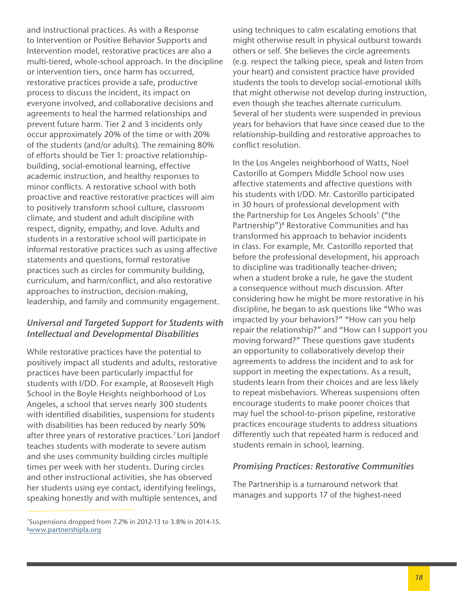and instructional practices. As with a Response to Intervention or Positive Behavior Supports and Intervention model, restorative practices are also a multi-tiered, whole-school approach. In the discipline or intervention tiers, once harm has occurred, restorative practices provide a safe, productive process to discuss the incident, its impact on everyone involved, and collaborative decisions and agreements to heal the harmed relationships and prevent future harm. Tier 2 and 3 incidents only occur approximately 20% of the time or with 20% of the students (and/or adults). The remaining 80% of efforts should be Tier 1: proactive relationshipbuilding, social-emotional learning, effective academic instruction, and healthy responses to minor conficts. A restorative school with both proactive and reactive restorative practices will aim to positively transform school culture, classroom climate, and student and adult discipline with respect, dignity, empathy, and love. Adults and students in a restorative school will participate in informal restorative practices such as using affective statements and questions, formal restorative practices such as circles for community building, curriculum, and harm/confict, and also restorative approaches to instruction, decision-making, leadership, and family and community engagement.

## *Universal and Targeted Support for Students with Intellectual and Developmental Disabilities*

While restorative practices have the potential to positively impact all students and adults, restorative practices have been particularly impactful for students with I/DD. For example, at Roosevelt High School in the Boyle Heights neighborhood of Los Angeles, a school that serves nearly 300 students with identifed disabilities, suspensions for students with disabilities has been reduced by nearly 50% after three years of restorative practices.<sup>7</sup> Lori Jandorf teaches students with moderate to severe autism and she uses community building circles multiple times per week with her students. During circles and other instructional activities, she has observed her students using eye contact, identifying feelings, speaking honestly and with multiple sentences, and

using techniques to calm escalating emotions that might otherwise result in physical outburst towards others or self. She believes the circle agreements (e.g. respect the talking piece, speak and listen from your heart) and consistent practice have provided students the tools to develop social-emotional skills that might otherwise not develop during instruction, even though she teaches alternate curriculum. Several of her students were suspended in previous years for behaviors that have since ceased due to the relationship-building and restorative approaches to confict resolution.

In the Los Angeles neighborhood of Watts, Noel Castorillo at Gompers Middle School now uses affective statements and affective questions with his students with I/DD. Mr. Castorillo participated in 30 hours of professional development with the Partnership for Los Angeles Schools' ("the Partnership")<sup>8</sup> Restorative Communities and has transformed his approach to behavior incidents in class. For example, Mr. Castorillo reported that before the professional development, his approach to discipline was traditionally teacher-driven; when a student broke a rule, he gave the student a consequence without much discussion. After considering how he might be more restorative in his discipline, he began to ask questions like "Who was impacted by your behaviors?" "How can you help repair the relationship?" and "How can I support you moving forward?" These questions gave students an opportunity to collaboratively develop their agreements to address the incident and to ask for support in meeting the expectations. As a result, students learn from their choices and are less likely to repeat misbehaviors. Whereas suspensions often encourage students to make poorer choices that may fuel the school-to-prison pipeline, restorative practices encourage students to address situations differently such that repeated harm is reduced and students remain in school, learning.

#### *Promising Practices: Restorative Communities*

The Partnership is a turnaround network that manages and supports 17 of the highest-need

<sup>7</sup>Suspensions dropped from 7.2% in 2012-13 to 3.8% in 2014-15. **[8www.partnershipla.org](http://8www.partnershipla.org)**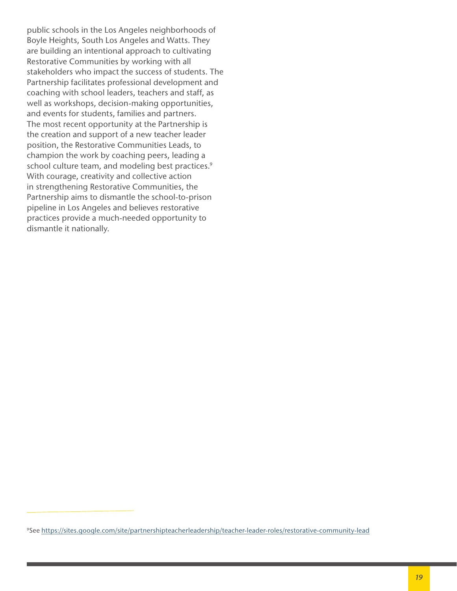public schools in the Los Angeles neighborhoods of Boyle Heights, South Los Angeles and Watts. They are building an intentional approach to cultivating Restorative Communities by working with all stakeholders who impact the success of students. The Partnership facilitates professional development and coaching with school leaders, teachers and staff, as well as workshops, decision-making opportunities, and events for students, families and partners. The most recent opportunity at the Partnership is the creation and support of a new teacher leader position, the Restorative Communities Leads, to champion the work by coaching peers, leading a school culture team, and modeling best practices.<sup>9</sup> With courage, creativity and collective action in strengthening Restorative Communities, the Partnership aims to dismantle the school-to-prison pipeline in Los Angeles and believes restorative practices provide a much-needed opportunity to dismantle it nationally.

<sup>9</sup>See [https://sites.google.com/site/partnershipteacherleadership/teacher-leader-roles/restorative-](ttps://sites.google.com/site/partnershipteacherleadership/teacher-leader-roles/restorative-community-lead)community-lead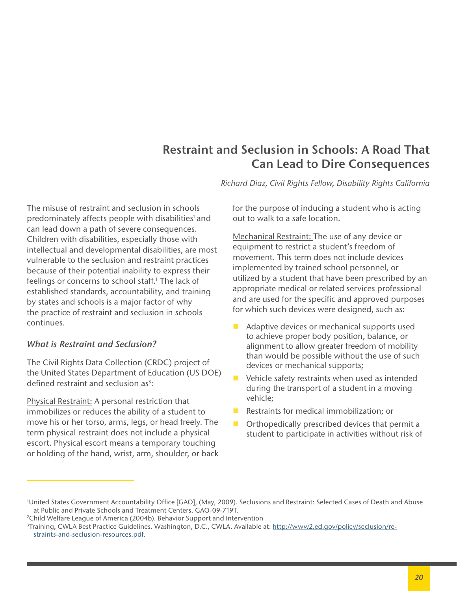# **Restraint and Seclusion in Schools: A Road That Can Lead to Dire Consequences**

*Richard Diaz, Civil Rights Fellow, Disability Rights California*

The misuse of restraint and seclusion in schools predominately affects people with disabilities<sup>1</sup> and can lead down a path of severe consequences. Children with disabilities, especially those with intellectual and developmental disabilities, are most vulnerable to the seclusion and restraint practices because of their potential inability to express their feelings or concerns to school staff.<sup>1</sup> The lack of established standards, accountability, and training by states and schools is a major factor of why the practice of restraint and seclusion in schools continues.

# *What is Restraint and Seclusion?*

The Civil Rights Data Collection (CRDC) project of the United States Department of Education (US DOE) defined restraint and seclusion  $as^3$ :

Physical Restraint: A personal restriction that immobilizes or reduces the ability of a student to move his or her torso, arms, legs, or head freely. The term physical restraint does not include a physical escort. Physical escort means a temporary touching or holding of the hand, wrist, arm, shoulder, or back for the purpose of inducing a student who is acting out to walk to a safe location.

Mechanical Restraint: The use of any device or equipment to restrict a student's freedom of movement. This term does not include devices implemented by trained school personnel, or utilized by a student that have been prescribed by an appropriate medical or related services professional and are used for the specific and approved purposes for which such devices were designed, such as:

- Adaptive devices or mechanical supports used to achieve proper body position, balance, or alignment to allow greater freedom of mobility than would be possible without the use of such devices or mechanical supports;
- Vehicle safety restraints when used as intended during the transport of a student in a moving vehicle;
- **Restraints for medical immobilization; or**
- Orthopedically prescribed devices that permit a student to participate in activities without risk of

<sup>1</sup> United States Government Accountability Offce [GAO], (May, 2009). Seclusions and Restraint: Selected Cases of Death and Abuse at Public and Private Schools and Treatment Centers. GAO-09-719T. 2Child Welfare League of America (2004b). Behavior Support and Intervention

<sup>3</sup>Training, CWLA Best Practice Guidelines. Washington, D.C., CWLA. Available at: http://www2.ed.gov/policy/seclusion/restraints-and-seclusion-resources.pdf.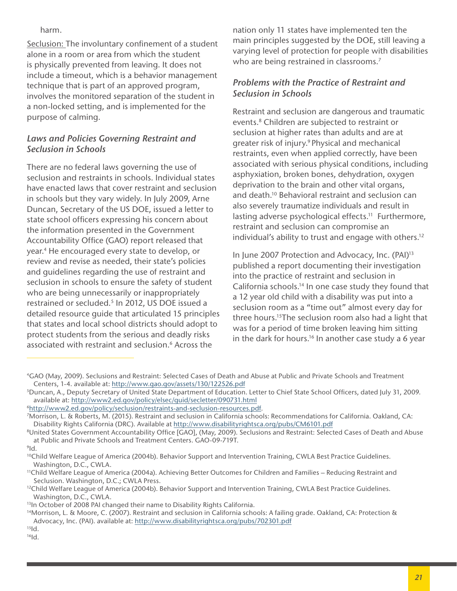harm.

Seclusion: The involuntary confinement of a student alone in a room or area from which the student is physically prevented from leaving. It does not include a timeout, which is a behavior management technique that is part of an approved program, involves the monitored separation of the student in a non-locked setting, and is implemented for the purpose of calming.

# *Laws and Policies Governing Restraint and Seclusion in Schools*

There are no federal laws governing the use of seclusion and restraints in schools. Individual states have enacted laws that cover restraint and seclusion in schools but they vary widely. In July 2009, Arne Duncan, Secretary of the US DOE, issued a letter to state school officers expressing his concern about the information presented in the Government Accountability Office (GAO) report released that year.4 He encouraged every state to develop, or review and revise as needed, their state's policies and guidelines regarding the use of restraint and seclusion in schools to ensure the safety of student who are being unnecessarily or inappropriately restrained or secluded.<sup>5</sup> In 2012, US DOE issued a detailed resource guide that articulated 15 principles that states and local school districts should adopt to protect students from the serious and deadly risks associated with restraint and seclusion.<sup>6</sup> Across the

nation only 11 states have implemented ten the main principles suggested by the DOE, still leaving a varying level of protection for people with disabilities who are being restrained in classrooms.<sup>7</sup>

# *Problems with the Practice of Restraint and Seclusion in Schools*

Restraint and seclusion are dangerous and traumatic events.<sup>8</sup> Children are subjected to restraint or seclusion at higher rates than adults and are at greater risk of injury.9 Physical and mechanical restraints, even when applied correctly, have been associated with serious physical conditions, including asphyxiation, broken bones, dehydration, oxygen deprivation to the brain and other vital organs, and death.10 Behavioral restraint and seclusion can also severely traumatize individuals and result in lasting adverse psychological effects.<sup>11</sup> Furthermore, restraint and seclusion can compromise an individual's ability to trust and engage with others.12

In June 2007 Protection and Advocacy, Inc. (PAI)<sup>13</sup> published a report documenting their investigation into the practice of restraint and seclusion in California schools.14 In one case study they found that a 12 year old child with a disability was put into a seclusion room as a "time out" almost every day for three hours.15The seclusion room also had a light that was for a period of time broken leaving him sitting in the dark for hours.<sup>16</sup> In another case study a 6 year

<sup>4</sup>GAO (May, 2009). Seclusions and Restraint: Selected Cases of Death and Abuse at Public and Private Schools and Treatment Centers, 1-4. available at: http://www.gao.gov/assets/130/122526.pdf

<sup>5</sup>Duncan, A., Deputy Secretary of United State Department of Education. Letter to Chief State School Offcers, dated July 31, 2009. available at: http://www2.ed.gov/policy/elsec/guid/secletter/090731.html

<sup>&</sup>lt;sup>6</sup>http://www2.ed.gov/policy/seclusion/restraints-and-seclusion-resources.pdf.<br><sup>7</sup>Morrison, L. & Roberts, M. (2015). Restraint and seclusion in California schools: Recommendations for California. Oakland, CA: Disability Rights California (DRC). Available at <http://www.disabilityrightsca.org/pubs/CM6101.pdf>

<sup>&</sup>lt;sup>8</sup>United States Government Accountability Office [GAO], (May, 2009). Seclusions and Restraint: Selected Cases of Death and Abuse at Public and Private Schools and Treatment Centers. GAO-09-719T.<br><sup>9</sup>Id.

<sup>&</sup>lt;sup>10</sup>Child Welfare League of America (2004b). Behavior Support and Intervention Training, CWLA Best Practice Guidelines. Washington, D.C., CWLA.<br><sup>11</sup>Child Welfare League of America (2004a). Achieving Better Outcomes for Children and Families – Reducing Restraint and

Seclusion. Washington, D.C.; CWLA Press.<br><sup>12</sup>Child Welfare League of America (2004b). Behavior Support and Intervention Training, CWLA Best Practice Guidelines.

Washington, D.C., CWLA.

<sup>&</sup>lt;sup>13</sup>In October of 2008 PAI changed their name to Disability Rights California.

<sup>14</sup>Morrison, L. & Moore, C. (2007). Restraint and seclusion in California schools: A failing grade. Oakland, CA: Protection & Advocacy, Inc. (PAI). available at: [http://www.disabilityrightsca.org/pubs/702301.pdf](ttp://www.disabilityrightsca.org/pubs/702301.pdf)

 $15$ <sub>Id.</sub>

 $16$ <sub>Id.</sub>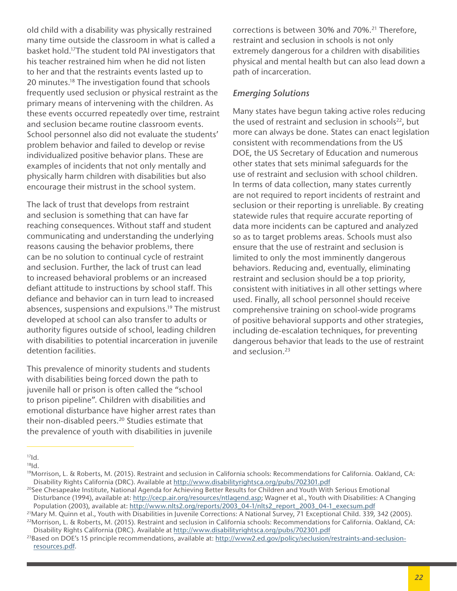old child with a disability was physically restrained many time outside the classroom in what is called a basket hold.17The student told PAI investigators that his teacher restrained him when he did not listen to her and that the restraints events lasted up to 20 minutes.18 The investigation found that schools frequently used seclusion or physical restraint as the primary means of intervening with the children. As these events occurred repeatedly over time, restraint and seclusion became routine classroom events. School personnel also did not evaluate the students' problem behavior and failed to develop or revise individualized positive behavior plans. These are examples of incidents that not only mentally and physically harm children with disabilities but also encourage their mistrust in the school system.

The lack of trust that develops from restraint and seclusion is something that can have far reaching consequences. Without staff and student communicating and understanding the underlying reasons causing the behavior problems, there can be no solution to continual cycle of restraint and seclusion. Further, the lack of trust can lead to increased behavioral problems or an increased defiant attitude to instructions by school staff. This defiance and behavior can in turn lead to increased absences, suspensions and expulsions.<sup>19</sup> The mistrust developed at school can also transfer to adults or authority figures outside of school, leading children with disabilities to potential incarceration in juvenile detention facilities.

This prevalence of minority students and students with disabilities being forced down the path to juvenile hall or prison is often called the "school to prison pipeline". Children with disabilities and emotional disturbance have higher arrest rates than their non-disabled peers.<sup>20</sup> Studies estimate that the prevalence of youth with disabilities in juvenile

corrections is between 30% and 70%.<sup>21</sup> Therefore, restraint and seclusion in schools is not only extremely dangerous for a children with disabilities physical and mental health but can also lead down a path of incarceration.

#### *Emerging Solutions*

Many states have begun taking active roles reducing the used of restraint and seclusion in schools<sup>22</sup>, but more can always be done. States can enact legislation consistent with recommendations from the US DOE, the US Secretary of Education and numerous other states that sets minimal safeguards for the use of restraint and seclusion with school children. In terms of data collection, many states currently are not required to report incidents of restraint and seclusion or their reporting is unreliable. By creating statewide rules that require accurate reporting of data more incidents can be captured and analyzed so as to target problems areas. Schools must also ensure that the use of restraint and seclusion is limited to only the most imminently dangerous behaviors. Reducing and, eventually, eliminating restraint and seclusion should be a top priority, consistent with initiatives in all other settings where used. Finally, all school personnel should receive comprehensive training on school-wide programs of positive behavioral supports and other strategies, including de-escalation techniques, for preventing dangerous behavior that leads to the use of restraint and seclusion.23

21Mary M. Quinn et al., Youth with Disabilities in Juvenile Corrections: A National Survey, 71 Exceptional Child. 339, 342 (2005). 22Morrison, L. & Roberts, M. (2015). Restraint and seclusion in California schools: Recommendations for California. Oakland, CA: Disability Rights California (DRC). Available at <http://www.disabilityrightsca.org/pubs/702301.pdf>

 $17$  $Id.$ 

 $18$ <sub>Id.</sub>

<sup>19</sup>Morrison, L. & Roberts, M. (2015). Restraint and seclusion in California schools: Recommendations for California. Oakland, CA: Disability Rights California (DRC). Available at [http://www.disabilityrightsca.org/pubs/702301.pdf](ttp://www.disabilityrightsca.org/pubs/702301.pdf)

<sup>20</sup>See Chesapeake Institute, National Agenda for Achieving Better Results for Children and Youth With Serious Emotional Disturbance (1994), available at: [http://cecp.air.org/resources/ntlagend.asp](ttp://cecp.air.org/resources/ntlagend.asp); Wagner et al., Youth with Disabilities: A Changing Population (2003), available at: [http://www.nlts2.org/reports/2003\\_04-1/nlts2\\_report\\_2003\\_04-1\\_execsum.pdf](http://www.nlts2.org/reports/2003_04-1/nlts2_report_2003_04-1_execsum.pdf)

<sup>&</sup>lt;sup>23</sup>Based on DOE's 15 principle recommendations, available at: [http://www2.ed.gov/policy/seclusion/restraints-and-seclusion](http://www2.ed.gov/policy/seclusion/restraints-and-seclusion-resources.pdf)[resources.pdf](http://www2.ed.gov/policy/seclusion/restraints-and-seclusion-resources.pdf).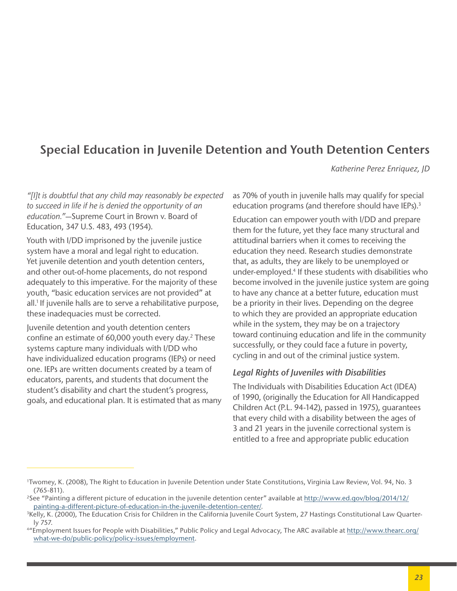# **Special Education in Juvenile Detention and Youth Detention Centers**

*Katherine Perez Enriquez, JD*

*"[I]t is doubtful that any child may reasonably be expected to succeed in life if he is denied the opportunity of an education."*—Supreme Court in Brown v. Board of Education, 347 U.S. 483, 493 (1954).

Youth with I/DD imprisoned by the juvenile justice system have a moral and legal right to education. Yet juvenile detention and youth detention centers, and other out-of-home placements, do not respond adequately to this imperative. For the majority of these youth, "basic education services are not provided" at all.<sup>1</sup> If juvenile halls are to serve a rehabilitative purpose, these inadequacies must be corrected.

Juvenile detention and youth detention centers confine an estimate of  $60,000$  youth every day.<sup>2</sup> These systems capture many individuals with I/DD who have individualized education programs (IEPs) or need one. IEPs are written documents created by a team of educators, parents, and students that document the student's disability and chart the student's progress, goals, and educational plan. It is estimated that as many as 70% of youth in juvenile halls may qualify for special education programs (and therefore should have IEPs).<sup>3</sup>

Education can empower youth with I/DD and prepare them for the future, yet they face many structural and attitudinal barriers when it comes to receiving the education they need. Research studies demonstrate that, as adults, they are likely to be unemployed or under-employed.4 If these students with disabilities who become involved in the juvenile justice system are going to have any chance at a better future, education must be a priority in their lives. Depending on the degree to which they are provided an appropriate education while in the system, they may be on a trajectory toward continuing education and life in the community successfully, or they could face a future in poverty, cycling in and out of the criminal justice system.

#### *Legal Rights of Juveniles with Disabilities*

The Individuals with Disabilities Education Act (IDEA) of 1990, (originally the Education for All Handicapped Children Act (P.L. 94-142), passed in 1975), guarantees that every child with a disability between the ages of 3 and 21 years in the juvenile correctional system is entitled to a free and appropriate public education

<sup>1</sup> Twomey, K. (2008), The Right to Education in Juvenile Detention under State Constitutions, Virginia Law Review, Vol. 94, No. 3 (765-811). 2See "Painting a different picture of education in the juvenile detention center" available at http://www.ed.gov/blog/2014/12/

painting-a-different-picture-of-education-in-the-juvenile-detention-center/.

<sup>3</sup>Kelly, K. (2000), The Education Crisis for Children in the California Juvenile Court System, 27 Hastings Constitutional Law Quarterly 757.<br>""Employment Issues for People with Disabilities," Public Policy and Legal Advocacy, The ARC available at <u>http://www.thearc.org</u>/

what-we-do/public-policy/policy-issues/employment.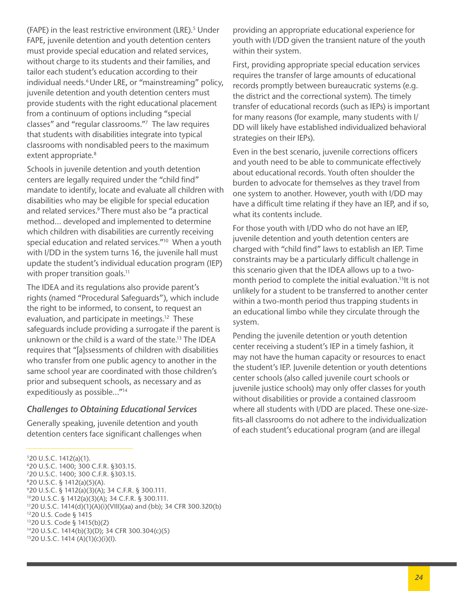(FAPE) in the least restrictive environment (LRE).<sup>5</sup> Under FAPE, juvenile detention and youth detention centers must provide special education and related services, without charge to its students and their families, and tailor each student's education according to their individual needs.<sup>6</sup> Under LRE, or "mainstreaming" policy, juvenile detention and youth detention centers must provide students with the right educational placement from a continuum of options including "special classes" and "regular classrooms."7 The law requires that students with disabilities integrate into typical classrooms with nondisabled peers to the maximum extent appropriate.<sup>8</sup>

Schools in juvenile detention and youth detention centers are legally required under the "child find" mandate to identify, locate and evaluate all children with disabilities who may be eligible for special education and related services.<sup>9</sup> There must also be "a practical method… developed and implemented to determine which children with disabilities are currently receiving special education and related services."<sup>10</sup> When a youth with I/DD in the system turns 16, the juvenile hall must update the student's individual education program (IEP) with proper transition goals.<sup>11</sup>

The IDEA and its regulations also provide parent's rights (named "Procedural Safeguards"), which include the right to be informed, to consent, to request an evaluation, and participate in meetings.<sup>12</sup> These safeguards include providing a surrogate if the parent is unknown or the child is a ward of the state.13 The IDEA requires that "[a]ssessments of children with disabilities who transfer from one public agency to another in the same school year are coordinated with those children's prior and subsequent schools, as necessary and as expeditiously as possible…"14

#### *Challenges to Obtaining Educational Services*

Generally speaking, juvenile detention and youth detention centers face significant challenges when

620 U.S.C. 1400; 300 C.F.R. §303.15.

providing an appropriate educational experience for youth with I/DD given the transient nature of the youth within their system.

First, providing appropriate special education services requires the transfer of large amounts of educational records promptly between bureaucratic systems (e.g. the district and the correctional system). The timely transfer of educational records (such as IEPs) is important for many reasons (for example, many students with I/ DD will likely have established individualized behavioral strategies on their IEPs).

Even in the best scenario, juvenile corrections officers and youth need to be able to communicate effectively about educational records. Youth often shoulder the burden to advocate for themselves as they travel from one system to another. However, youth with I/DD may have a difficult time relating if they have an IEP, and if so, what its contents include.

For those youth with I/DD who do not have an IEP, juvenile detention and youth detention centers are charged with "child find" laws to establish an IEP. Time constraints may be a particularly difficult challenge in this scenario given that the IDEA allows up to a twomonth period to complete the initial evaluation.<sup>15</sup>It is not unlikely for a student to be transferred to another center within a two-month period thus trapping students in an educational limbo while they circulate through the system.

Pending the juvenile detention or youth detention center receiving a student's IEP in a timely fashion, it may not have the human capacity or resources to enact the student's IEP. Juvenile detention or youth detentions center schools (also called juvenile court schools or juvenile justice schools) may only offer classes for youth without disabilities or provide a contained classroom where all students with I/DD are placed. These one-sizefits-all classrooms do not adhere to the individualization of each student's educational program (and are illegal

 $520$  U.S.C. 1412(a)(1).

<sup>720</sup> U.S.C. 1400; 300 C.F.R. §303.15.

<sup>820</sup> U.S.C. § 1412(a)(5)(A).

<sup>9</sup> 20 U.S.C. § 1412(a)(3)(A); 34 C.F.R. § 300.111.

<sup>1020</sup> U.S.C. § 1412(a)(3)(A); 34 C.F.R. § 300.111.

<sup>1120</sup> U.S.C. 1414(d)(1)(A)(i)(VIII)(aa) and (bb); 34 CFR 300.320(b)

<sup>1220</sup> U.S. Code § 1415

<sup>1320</sup> U.S. Code § 1415(b)(2)

<sup>1420</sup> U.S.C. 1414(b)(3)(D); 34 CFR 300.304(c)(5)

<sup>1520</sup> U.S.C. 1414 (A)(1)(c)(i)(I).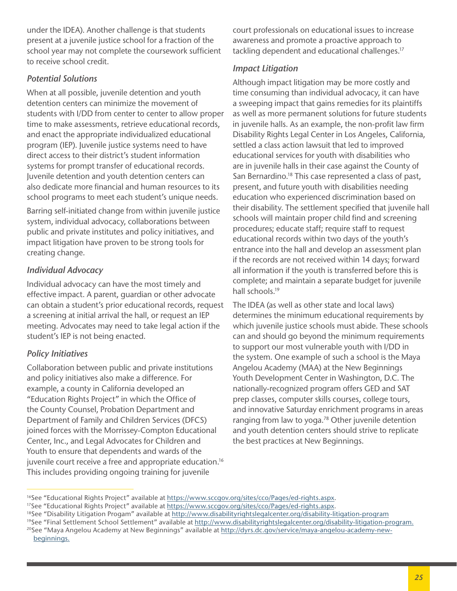under the IDEA). Another challenge is that students present at a juvenile justice school for a fraction of the school year may not complete the coursework sufficient to receive school credit.

# *Potential Solutions*

When at all possible, juvenile detention and youth detention centers can minimize the movement of students with I/DD from center to center to allow proper time to make assessments, retrieve educational records, and enact the appropriate individualized educational program (IEP). Juvenile justice systems need to have direct access to their district's student information systems for prompt transfer of educational records. Juvenile detention and youth detention centers can also dedicate more fnancial and human resources to its school programs to meet each student's unique needs.

Barring self-initiated change from within juvenile justice system, individual advocacy, collaborations between public and private institutes and policy initiatives, and impact litigation have proven to be strong tools for creating change.

# *Individual Advocacy*

Individual advocacy can have the most timely and effective impact. A parent, guardian or other advocate can obtain a student's prior educational records, request a screening at initial arrival the hall, or request an IEP meeting. Advocates may need to take legal action if the student's IEP is not being enacted.

# *Policy Initiatives*

Collaboration between public and private institutions and policy initiatives also make a difference. For example, a county in California developed an "Education Rights Project" in which the Office of the County Counsel, Probation Department and Department of Family and Children Services (DFCS) joined forces with the Morrissey-Compton Educational Center, Inc., and Legal Advocates for Children and Youth to ensure that dependents and wards of the juvenile court receive a free and appropriate education.<sup>16</sup> This includes providing ongoing training for juvenile

court professionals on educational issues to increase awareness and promote a proactive approach to tackling dependent and educational challenges.<sup>17</sup>

# *Impact Litigation*

Although impact litigation may be more costly and time consuming than individual advocacy, it can have a sweeping impact that gains remedies for its plaintiffs as well as more permanent solutions for future students in juvenile halls. As an example, the non-profit law firm Disability Rights Legal Center in Los Angeles, California, settled a class action lawsuit that led to improved educational services for youth with disabilities who are in juvenile halls in their case against the County of San Bernardino.<sup>18</sup> This case represented a class of past, present, and future youth with disabilities needing education who experienced discrimination based on their disability. The settlement specifed that juvenile hall schools will maintain proper child find and screening procedures; educate staff; require staff to request educational records within two days of the youth's entrance into the hall and develop an assessment plan if the records are not received within 14 days; forward all information if the youth is transferred before this is complete; and maintain a separate budget for juvenile hall schools.<sup>19</sup>

The IDEA (as well as other state and local laws) determines the minimum educational requirements by which juvenile justice schools must abide. These schools can and should go beyond the minimum requirements to support our most vulnerable youth with I/DD in the system. One example of such a school is the Maya Angelou Academy (MAA) at the New Beginnings Youth Development Center in Washington, D.C. The nationally-recognized program offers GED and SAT prep classes, computer skills courses, college tours, and innovative Saturday enrichment programs in areas ranging from law to yoga.<sup>78</sup> Other juvenile detention and youth detention centers should strive to replicate the best practices at New Beginnings.

<sup>&</sup>lt;sup>16</sup>See "Educational Rights Project" available at [https://www.sccgov.org/sites/cco/Pages/ed-rights.aspx](https://www.sccgov.org/sites/cco/Pages/ed-rights.aspx.).<br><sup>17</sup>See "Educational Rights Project" available at <https://www.sccgov.org/sites/cco/Pages/ed-rights.aspx.>

<sup>&</sup>lt;sup>18</sup>See "Disability Litigation Progam" available at http://www.disabilityrightslegalcenter.org/disability-litigation-program

<sup>&</sup>lt;sup>19</sup>See "Final Settlement School Settlement" available at [http://www.disabilityrightslegalcenter.org/disability](http://www.disabilityrightslegalcenter.org/disability-litigation-program)-litigation-program.

<sup>&</sup>lt;sup>20</sup>See "Maya Angelou Academy at New Beginnings" available at [http://dyrs.dc.gov/service/maya-](http://dyrs.dc.gov/service/maya-angelou-academy-new-beginnings.)angelou-academy-newbeginnings.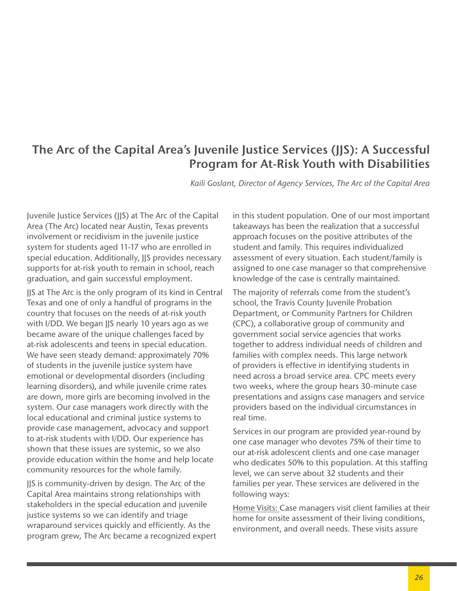# **The Arc of the Capital Area's Juvenile Justice Services (JJS): A Successful Program for At-Risk Youth with Disabilities**

*Kaili Goslant, Director of Agency Services, The Arc of the Capital Area*

Juvenile Justice Services (JJS) at The Arc of the Capital Area (The Arc) located near Austin, Texas prevents involvement or recidivism in the juvenile justice system for students aged 11-17 who are enrolled in special education. Additionally, JJS provides necessary supports for at-risk youth to remain in school, reach graduation, and gain successful employment.

JJS at The Arc is the only program of its kind in Central Texas and one of only a handful of programs in the country that focuses on the needs of at-risk youth with I/DD. We began JJS nearly 10 years ago as we became aware of the unique challenges faced by at-risk adolescents and teens in special education. We have seen steady demand: approximately 70% of students in the juvenile justice system have emotional or developmental disorders (including learning disorders), and while juvenile crime rates are down, more girls are becoming involved in the system. Our case managers work directly with the local educational and criminal justice systems to provide case management, advocacy and support to at-risk students with I/DD. Our experience has shown that these issues are systemic, so we also provide education within the home and help locate community resources for the whole family.

JJS is community-driven by design. The Arc of the Capital Area maintains strong relationships with stakeholders in the special education and juvenile justice systems so we can identify and triage wraparound services quickly and efficiently. As the program grew, The Arc became a recognized expert in this student population. One of our most important takeaways has been the realization that a successful approach focuses on the positive attributes of the student and family. This requires individualized assessment of every situation. Each student/family is assigned to one case manager so that comprehensive knowledge of the case is centrally maintained.

The majority of referrals come from the student's school, the Travis County Juvenile Probation Department, or Community Partners for Children (CPC), a collaborative group of community and government social service agencies that works together to address individual needs of children and families with complex needs. This large network of providers is effective in identifying students in need across a broad service area. CPC meets every two weeks, where the group hears 30-minute case presentations and assigns case managers and service providers based on the individual circumstances in real time.

Services in our program are provided year-round by one case manager who devotes 75% of their time to our at-risk adolescent clients and one case manager who dedicates 50% to this population. At this staffing level, we can serve about 32 students and their families per year. These services are delivered in the following ways:

Home Visits: Case managers visit client families at their home for onsite assessment of their living conditions, environment, and overall needs. These visits assure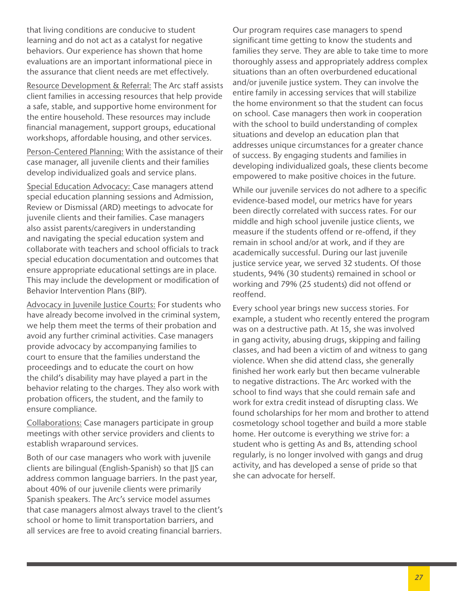that living conditions are conducive to student learning and do not act as a catalyst for negative behaviors. Our experience has shown that home evaluations are an important informational piece in the assurance that client needs are met effectively.

Resource Development & Referral: The Arc staff assists client families in accessing resources that help provide a safe, stable, and supportive home environment for the entire household. These resources may include fnancial management, support groups, educational workshops, affordable housing, and other services.

Person-Centered Planning: With the assistance of their case manager, all juvenile clients and their families develop individualized goals and service plans.

Special Education Advocacy: Case managers attend special education planning sessions and Admission, Review or Dismissal (ARD) meetings to advocate for juvenile clients and their families. Case managers also assist parents/caregivers in understanding and navigating the special education system and collaborate with teachers and school officials to track special education documentation and outcomes that ensure appropriate educational settings are in place. This may include the development or modification of Behavior Intervention Plans (BIP).

Advocacy in Juvenile Justice Courts: For students who have already become involved in the criminal system, we help them meet the terms of their probation and avoid any further criminal activities. Case managers provide advocacy by accompanying families to court to ensure that the families understand the proceedings and to educate the court on how the child's disability may have played a part in the behavior relating to the charges. They also work with probation officers, the student, and the family to ensure compliance.

Collaborations: Case managers participate in group meetings with other service providers and clients to establish wraparound services.

Both of our case managers who work with juvenile clients are bilingual (English-Spanish) so that JJS can address common language barriers. In the past year, about 40% of our juvenile clients were primarily Spanish speakers. The Arc's service model assumes that case managers almost always travel to the client's school or home to limit transportation barriers, and all services are free to avoid creating fnancial barriers.

Our program requires case managers to spend signifcant time getting to know the students and families they serve. They are able to take time to more thoroughly assess and appropriately address complex situations than an often overburdened educational and/or juvenile justice system. They can involve the entire family in accessing services that will stabilize the home environment so that the student can focus on school. Case managers then work in cooperation with the school to build understanding of complex situations and develop an education plan that addresses unique circumstances for a greater chance of success. By engaging students and families in developing individualized goals, these clients become empowered to make positive choices in the future.

While our juvenile services do not adhere to a specific evidence-based model, our metrics have for years been directly correlated with success rates. For our middle and high school juvenile justice clients, we measure if the students offend or re-offend, if they remain in school and/or at work, and if they are academically successful. During our last juvenile justice service year, we served 32 students. Of those students, 94% (30 students) remained in school or working and 79% (25 students) did not offend or reoffend.

Every school year brings new success stories. For example, a student who recently entered the program was on a destructive path. At 15, she was involved in gang activity, abusing drugs, skipping and failing classes, and had been a victim of and witness to gang violence. When she did attend class, she generally finished her work early but then became vulnerable to negative distractions. The Arc worked with the school to find ways that she could remain safe and work for extra credit instead of disrupting class. We found scholarships for her mom and brother to attend cosmetology school together and build a more stable home. Her outcome is everything we strive for: a student who is getting As and Bs, attending school regularly, is no longer involved with gangs and drug activity, and has developed a sense of pride so that she can advocate for herself.